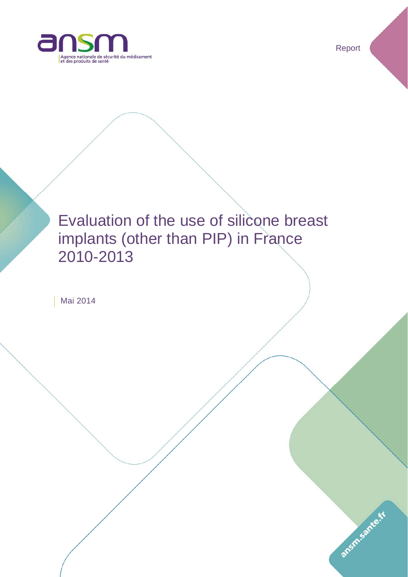

Report

ansm.sante.tr

# Evaluation of the use of silicone breast implants (other than PIP) in France 2010-2013

Mai 2014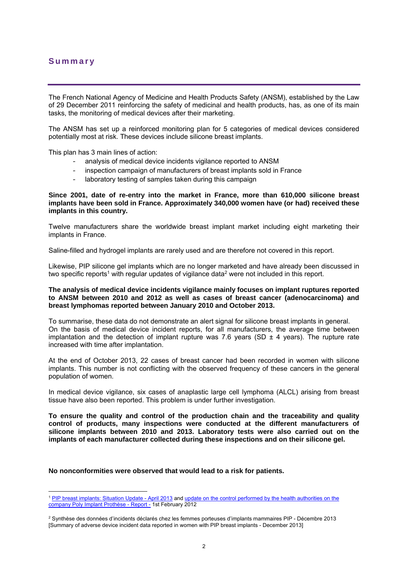# **Summary**

1

The French National Agency of Medicine and Health Products Safety (ANSM), established by the Law of 29 December 2011 reinforcing the safety of medicinal and health products, has, as one of its main tasks, the monitoring of medical devices after their marketing.

The ANSM has set up a reinforced monitoring plan for 5 categories of medical devices considered potentially most at risk. These devices include silicone breast implants.

This plan has 3 main lines of action:

- analysis of medical device incidents vigilance reported to ANSM
- inspection campaign of manufacturers of breast implants sold in France
- laboratory testing of samples taken during this campaign

#### **Since 2001, date of re-entry into the market in France, more than 610,000 silicone breast implants have been sold in France. Approximately 340,000 women have (or had) received these implants in this country.**

Twelve manufacturers share the worldwide breast implant market including eight marketing their implants in France.

Saline-filled and hydrogel implants are rarely used and are therefore not covered in this report.

Likewise, PIP silicone gel implants which are no longer marketed and have already been discussed in two specific reports<sup>1</sup> with regular updates of vigilance data<sup>2</sup> were not included in this report.

#### **The analysis of medical device incidents vigilance mainly focuses on implant ruptures reported to ANSM between 2010 and 2012 as well as cases of breast cancer (adenocarcinoma) and breast lymphomas reported between January 2010 and October 2013.**

To summarise, these data do not demonstrate an alert signal for silicone breast implants in general. On the basis of medical device incident reports, for all manufacturers, the average time between implantation and the detection of implant rupture was 7.6 years (SD  $\pm$  4 years). The rupture rate increased with time after implantation.

At the end of October 2013, 22 cases of breast cancer had been recorded in women with silicone implants. This number is not conflicting with the observed frequency of these cancers in the general population of women.

In medical device vigilance, six cases of anaplastic large cell lymphoma (ALCL) arising from breast tissue have also been reported. This problem is under further investigation.

**To ensure the quality and control of the production chain and the traceability and quality control of products, many inspections were conducted at the different manufacturers of silicone implants between 2010 and 2013. Laboratory tests were also carried out on the implants of each manufacturer collected during these inspections and on their silicone gel.**

**No nonconformities were observed that would lead to a risk for patients.** 

<sup>&</sup>lt;sup>1</sup> PIP breast implants: Situation Update - April 2013 and update on the control performed by the health authorities on the company Poly Implant Prothèse - Report - 1st February 2012

<sup>2</sup> Synthèse des données d'incidents déclarés chez les femmes porteuses d'implants mammaires PIP - Décembre 2013 [Summary of adverse device incident data reported in women with PIP breast implants - December 2013]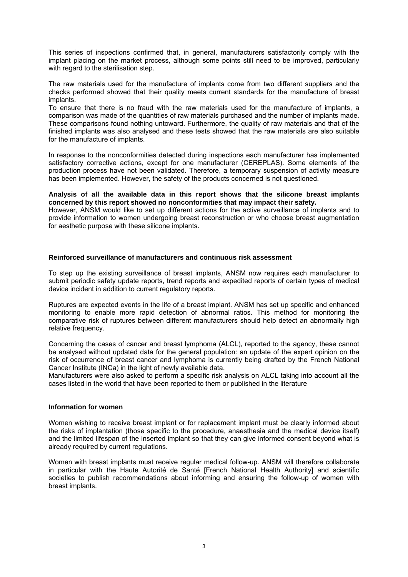This series of inspections confirmed that, in general, manufacturers satisfactorily comply with the implant placing on the market process, although some points still need to be improved, particularly with regard to the sterilisation step.

The raw materials used for the manufacture of implants come from two different suppliers and the checks performed showed that their quality meets current standards for the manufacture of breast implants.

To ensure that there is no fraud with the raw materials used for the manufacture of implants, a comparison was made of the quantities of raw materials purchased and the number of implants made. These comparisons found nothing untoward. Furthermore, the quality of raw materials and that of the finished implants was also analysed and these tests showed that the raw materials are also suitable for the manufacture of implants.

In response to the nonconformities detected during inspections each manufacturer has implemented satisfactory corrective actions, except for one manufacturer (CEREPLAS). Some elements of the production process have not been validated. Therefore, a temporary suspension of activity measure has been implemented. However, the safety of the products concerned is not questioned.

#### **Analysis of all the available data in this report shows that the silicone breast implants concerned by this report showed no nonconformities that may impact their safety.**

However, ANSM would like to set up different actions for the active surveillance of implants and to provide information to women undergoing breast reconstruction or who choose breast augmentation for aesthetic purpose with these silicone implants.

#### **Reinforced surveillance of manufacturers and continuous risk assessment**

To step up the existing surveillance of breast implants, ANSM now requires each manufacturer to submit periodic safety update reports, trend reports and expedited reports of certain types of medical device incident in addition to current regulatory reports.

Ruptures are expected events in the life of a breast implant. ANSM has set up specific and enhanced monitoring to enable more rapid detection of abnormal ratios. This method for monitoring the comparative risk of ruptures between different manufacturers should help detect an abnormally high relative frequency.

Concerning the cases of cancer and breast lymphoma (ALCL), reported to the agency, these cannot be analysed without updated data for the general population: an update of the expert opinion on the risk of occurrence of breast cancer and lymphoma is currently being drafted by the French National Cancer Institute (INCa) in the light of newly available data.

Manufacturers were also asked to perform a specific risk analysis on ALCL taking into account all the cases listed in the world that have been reported to them or published in the literature

#### **Information for women**

Women wishing to receive breast implant or for replacement implant must be clearly informed about the risks of implantation (those specific to the procedure, anaesthesia and the medical device itself) and the limited lifespan of the inserted implant so that they can give informed consent beyond what is already required by current regulations.

Women with breast implants must receive regular medical follow-up. ANSM will therefore collaborate in particular with the Haute Autorité de Santé [French National Health Authority] and scientific societies to publish recommendations about informing and ensuring the follow-up of women with breast implants.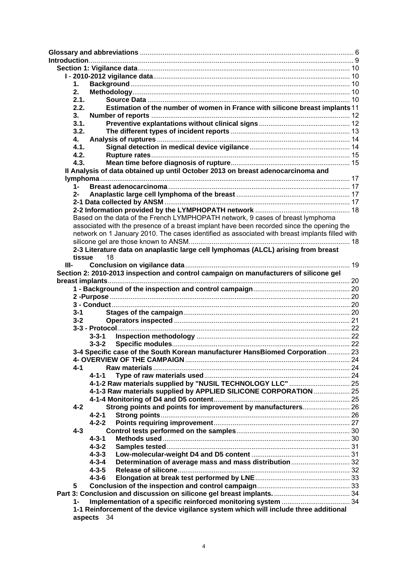| 1.      |                                                                                                                |  |
|---------|----------------------------------------------------------------------------------------------------------------|--|
| 2.      |                                                                                                                |  |
| 2.1.    |                                                                                                                |  |
| 2.2.    | Estimation of the number of women in France with silicone breast implants 11                                   |  |
| 3.      |                                                                                                                |  |
| 3.1.    |                                                                                                                |  |
| 3.2.    |                                                                                                                |  |
|         |                                                                                                                |  |
| 4.      |                                                                                                                |  |
| 4.1.    |                                                                                                                |  |
| 4.2.    |                                                                                                                |  |
| 4.3.    |                                                                                                                |  |
|         | Il Analysis of data obtained up until October 2013 on breast adenocarcinoma and                                |  |
|         |                                                                                                                |  |
| 1-      |                                                                                                                |  |
| $2 -$   |                                                                                                                |  |
|         |                                                                                                                |  |
|         |                                                                                                                |  |
|         | Based on the data of the French LYMPHOPATH network, 9 cases of breast lymphoma                                 |  |
|         | associated with the presence of a breast implant have been recorded since the opening the                      |  |
|         | network on 1 January 2010. The cases identified as associated with breast implants filled with                 |  |
|         |                                                                                                                |  |
|         | 2-3 Literature data on anaplastic large cell lymphomas (ALCL) arising from breast                              |  |
|         | 18                                                                                                             |  |
| tissue  |                                                                                                                |  |
| III-    |                                                                                                                |  |
|         | Section 2: 2010-2013 inspection and control campaign on manufacturers of silicone gel                          |  |
|         |                                                                                                                |  |
|         |                                                                                                                |  |
|         |                                                                                                                |  |
|         |                                                                                                                |  |
| $3 - 1$ |                                                                                                                |  |
| $3-2$   |                                                                                                                |  |
|         |                                                                                                                |  |
|         | $3 - 3 - 1$                                                                                                    |  |
|         | $3 - 3 - 2$                                                                                                    |  |
|         | 3-4 Specific case of the South Korean manufacturer HansBiomed Corporation 23                                   |  |
|         |                                                                                                                |  |
| $4 - 1$ |                                                                                                                |  |
|         | $4 - 1 - 1$                                                                                                    |  |
|         |                                                                                                                |  |
|         | 4-1-2 Raw materials supplied by "NUSIL TECHNOLOGY LLC"  25                                                     |  |
|         | 4-1-3 Raw materials supplied by APPLIED SILICONE CORPORATION  25                                               |  |
|         |                                                                                                                |  |
| $4 - 2$ | Strong points and points for improvement by manufacturers 26                                                   |  |
|         | $4 - 2 - 1$                                                                                                    |  |
|         | $4 - 2 - 2$                                                                                                    |  |
| $4 - 3$ |                                                                                                                |  |
|         | $4 - 3 - 1$                                                                                                    |  |
|         | $4 - 3 - 2$                                                                                                    |  |
|         | $4 - 3 - 3$                                                                                                    |  |
|         | $4 - 3 - 4$                                                                                                    |  |
|         | $4 - 3 - 5$                                                                                                    |  |
|         |                                                                                                                |  |
|         | $4 - 3 - 6$                                                                                                    |  |
| 5       |                                                                                                                |  |
|         |                                                                                                                |  |
| 1-      |                                                                                                                |  |
|         | 1-1 Reinforcement of the device vigilance system which will include three additional<br>onoote <sub>0</sub> 24 |  |

**aspects** 34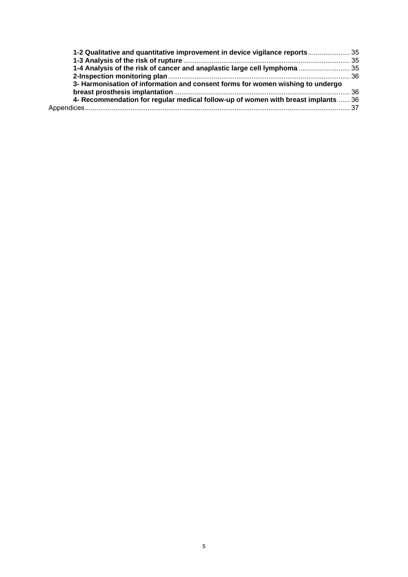| 1-2 Qualitative and quantitative improvement in device vigilance reports 35       |  |
|-----------------------------------------------------------------------------------|--|
|                                                                                   |  |
| 1-4 Analysis of the risk of cancer and anaplastic large cell lymphoma  35         |  |
|                                                                                   |  |
| 3- Harmonisation of information and consent forms for women wishing to undergo    |  |
|                                                                                   |  |
| 4- Recommendation for regular medical follow-up of women with breast implants  36 |  |
|                                                                                   |  |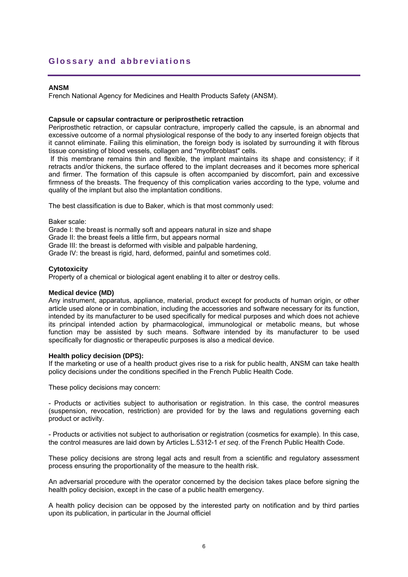## **Glossary and abbreviations**

#### **ANSM**

French National Agency for Medicines and Health Products Safety (ANSM).

#### **Capsule or capsular contracture or periprosthetic retraction**

Periprosthetic retraction, or capsular contracture, improperly called the capsule, is an abnormal and excessive outcome of a normal physiological response of the body to any inserted foreign objects that it cannot eliminate. Failing this elimination, the foreign body is isolated by surrounding it with fibrous tissue consisting of blood vessels, collagen and "myofibroblast" cells.

If this membrane remains thin and flexible, the implant maintains its shape and consistency; if it retracts and/or thickens, the surface offered to the implant decreases and it becomes more spherical and firmer. The formation of this capsule is often accompanied by discomfort, pain and excessive firmness of the breasts. The frequency of this complication varies according to the type, volume and quality of the implant but also the implantation conditions.

The best classification is due to Baker, which is that most commonly used:

Baker scale:

Grade I: the breast is normally soft and appears natural in size and shape

Grade II: the breast feels a little firm, but appears normal

Grade III: the breast is deformed with visible and palpable hardening,

Grade IV: the breast is rigid, hard, deformed, painful and sometimes cold.

#### **Cytotoxicity**

Property of a chemical or biological agent enabling it to alter or destroy cells.

## **Medical device (MD)**

Any instrument, apparatus, appliance, material, product except for products of human origin, or other article used alone or in combination, including the accessories and software necessary for its function, intended by its manufacturer to be used specifically for medical purposes and which does not achieve its principal intended action by pharmacological, immunological or metabolic means, but whose function may be assisted by such means. Software intended by its manufacturer to be used specifically for diagnostic or therapeutic purposes is also a medical device.

#### **Health policy decision (DPS):**

If the marketing or use of a health product gives rise to a risk for public health, ANSM can take health policy decisions under the conditions specified in the French Public Health Code.

These policy decisions may concern:

- Products or activities subject to authorisation or registration. In this case, the control measures (suspension, revocation, restriction) are provided for by the laws and regulations governing each product or activity.

- Products or activities not subject to authorisation or registration (cosmetics for example). In this case, the control measures are laid down by Articles L.5312-1 *et seq*. of the French Public Health Code.

These policy decisions are strong legal acts and result from a scientific and regulatory assessment process ensuring the proportionality of the measure to the health risk.

An adversarial procedure with the operator concerned by the decision takes place before signing the health policy decision, except in the case of a public health emergency.

A health policy decision can be opposed by the interested party on notification and by third parties upon its publication, in particular in the Journal officiel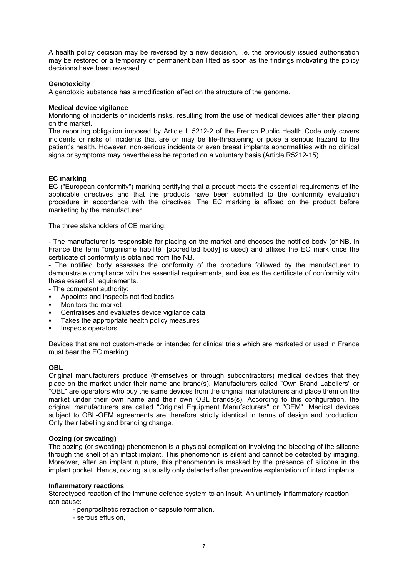A health policy decision may be reversed by a new decision, i.e. the previously issued authorisation may be restored or a temporary or permanent ban lifted as soon as the findings motivating the policy decisions have been reversed.

#### **Genotoxicity**

A genotoxic substance has a modification effect on the structure of the genome.

#### **Medical device vigilance**

Monitoring of incidents or incidents risks, resulting from the use of medical devices after their placing on the market.

The reporting obligation imposed by Article L 5212-2 of the French Public Health Code only covers incidents or risks of incidents that are or may be life-threatening or pose a serious hazard to the patient's health. However, non-serious incidents or even breast implants abnormalities with no clinical signs or symptoms may nevertheless be reported on a voluntary basis (Article R5212-15).

#### **EC marking**

EC ("European conformity") marking certifying that a product meets the essential requirements of the applicable directives and that the products have been submitted to the conformity evaluation procedure in accordance with the directives. The EC marking is affixed on the product before marketing by the manufacturer.

The three stakeholders of CE marking:

- The manufacturer is responsible for placing on the market and chooses the notified body (or NB. In France the term "organisme habilité" [accredited body] is used) and affixes the EC mark once the certificate of conformity is obtained from the NB.

- The notified body assesses the conformity of the procedure followed by the manufacturer to demonstrate compliance with the essential requirements, and issues the certificate of conformity with these essential requirements.

- The competent authority:

- Appoints and inspects notified bodies
- Monitors the market
- Centralises and evaluates device vigilance data
- Takes the appropriate health policy measures
- Inspects operators

Devices that are not custom-made or intended for clinical trials which are marketed or used in France must bear the EC marking.

#### **OBL**

Original manufacturers produce (themselves or through subcontractors) medical devices that they place on the market under their name and brand(s). Manufacturers called "Own Brand Labellers" or "OBL" are operators who buy the same devices from the original manufacturers and place them on the market under their own name and their own OBL brands(s). According to this configuration, the original manufacturers are called "Original Equipment Manufacturers" or "OEM". Medical devices subject to OBL-OEM agreements are therefore strictly identical in terms of design and production. Only their labelling and branding change.

#### **Oozing (or sweating)**

The oozing (or sweating) phenomenon is a physical complication involving the bleeding of the silicone through the shell of an intact implant. This phenomenon is silent and cannot be detected by imaging. Moreover, after an implant rupture, this phenomenon is masked by the presence of silicone in the implant pocket. Hence, oozing is usually only detected after preventive explantation of intact implants.

#### **Inflammatory reactions**

Stereotyped reaction of the immune defence system to an insult. An untimely inflammatory reaction can cause:

- periprosthetic retraction or capsule formation,
- serous effusion,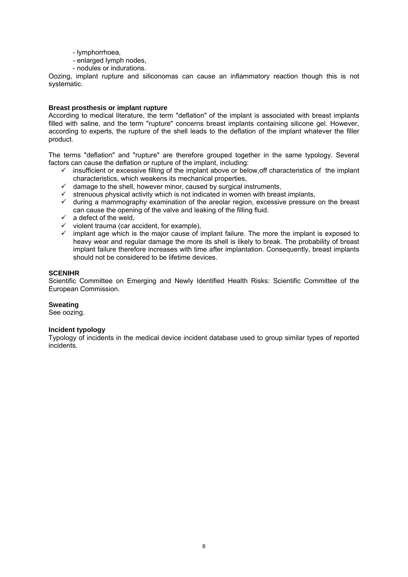- lymphorrhoea,
- enlarged lymph nodes,
- nodules or indurations.

Oozing, implant rupture and siliconomas can cause an inflammatory reaction though this is not systematic.

#### **Breast prosthesis or implant rupture**

According to medical literature, the term "deflation" of the implant is associated with breast implants filled with saline, and the term "rupture" concerns breast implants containing silicone gel. However, according to experts, the rupture of the shell leads to the deflation of the implant whatever the filler product.

The terms "deflation" and "rupture" are therefore grouped together in the same typology. Several factors can cause the deflation or rupture of the implant, including:

- $\checkmark$  insufficient or excessive filling of the implant above or below, off characteristics of the implant characteristics, which weakens its mechanical properties,
- $\checkmark$  damage to the shell, however minor, caused by surgical instruments,
- $\checkmark$  strenuous physical activity which is not indicated in women with breast implants,
- $\checkmark$  during a mammography examination of the areolar region, excessive pressure on the breast can cause the opening of the valve and leaking of the filling fluid.
- $\checkmark$  a defect of the weld,
- $\checkmark$  violent trauma (car accident, for example),
- $\checkmark$  implant age which is the major cause of implant failure. The more the implant is exposed to heavy wear and regular damage the more its shell is likely to break. The probability of breast implant failure therefore increases with time after implantation. Consequently, breast implants should not be considered to be lifetime devices.

#### **SCENIHR**

Scientific Committee on Emerging and Newly Identified Health Risks: Scientific Committee of the European Commission.

#### **Sweating**

See oozing.

#### **Incident typology**

Typology of incidents in the medical device incident database used to group similar types of reported incidents.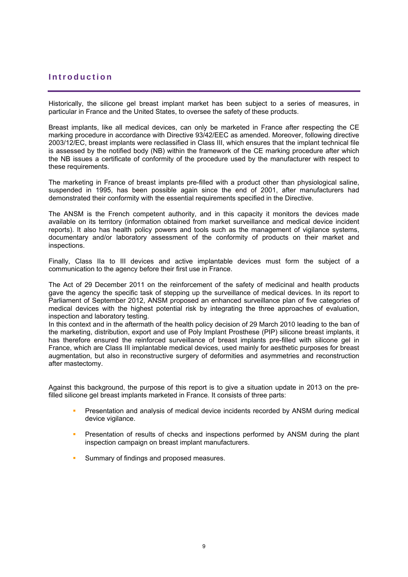# **Introduction**

Historically, the silicone gel breast implant market has been subject to a series of measures, in particular in France and the United States, to oversee the safety of these products.

Breast implants, like all medical devices, can only be marketed in France after respecting the CE marking procedure in accordance with Directive 93/42/EEC as amended. Moreover, following directive 2003/12/EC, breast implants were reclassified in Class III, which ensures that the implant technical file is assessed by the notified body (NB) within the framework of the CE marking procedure after which the NB issues a certificate of conformity of the procedure used by the manufacturer with respect to these requirements.

The marketing in France of breast implants pre-filled with a product other than physiological saline, suspended in 1995, has been possible again since the end of 2001, after manufacturers had demonstrated their conformity with the essential requirements specified in the Directive.

The ANSM is the French competent authority, and in this capacity it monitors the devices made available on its territory (information obtained from market surveillance and medical device incident reports). It also has health policy powers and tools such as the management of vigilance systems, documentary and/or laboratory assessment of the conformity of products on their market and inspections.

Finally, Class IIa to III devices and active implantable devices must form the subject of a communication to the agency before their first use in France.

The Act of 29 December 2011 on the reinforcement of the safety of medicinal and health products gave the agency the specific task of stepping up the surveillance of medical devices. In its report to Parliament of September 2012, ANSM proposed an enhanced surveillance plan of five categories of medical devices with the highest potential risk by integrating the three approaches of evaluation, inspection and laboratory testing.

In this context and in the aftermath of the health policy decision of 29 March 2010 leading to the ban of the marketing, distribution, export and use of Poly Implant Prosthese (PIP) silicone breast implants, it has therefore ensured the reinforced surveillance of breast implants pre-filled with silicone gel in France, which are Class III implantable medical devices, used mainly for aesthetic purposes for breast augmentation, but also in reconstructive surgery of deformities and asymmetries and reconstruction after mastectomy.

Against this background, the purpose of this report is to give a situation update in 2013 on the prefilled silicone gel breast implants marketed in France. It consists of three parts:

- Presentation and analysis of medical device incidents recorded by ANSM during medical device vigilance.
- **Presentation of results of checks and inspections performed by ANSM during the plant** inspection campaign on breast implant manufacturers.
- **Summary of findings and proposed measures.**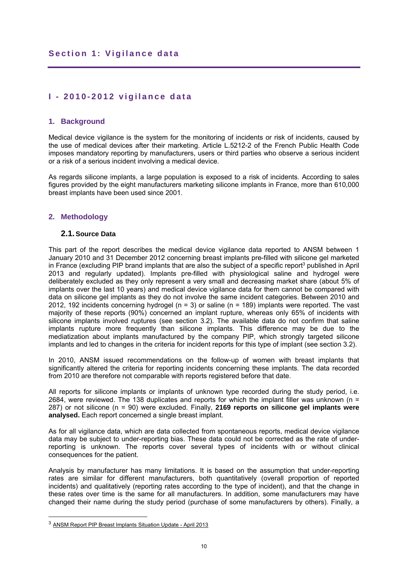# **I - 2010-2012 vigilance data**

## **1. Background**

Medical device vigilance is the system for the monitoring of incidents or risk of incidents, caused by the use of medical devices after their marketing. Article L.5212-2 of the French Public Health Code imposes mandatory reporting by manufacturers, users or third parties who observe a serious incident or a risk of a serious incident involving a medical device.

As regards silicone implants, a large population is exposed to a risk of incidents. According to sales figures provided by the eight manufacturers marketing silicone implants in France, more than 610,000 breast implants have been used since 2001.

## **2. Methodology**

#### **2.1. Source Data**

This part of the report describes the medical device vigilance data reported to ANSM between 1 January 2010 and 31 December 2012 concerning breast implants pre-filled with silicone gel marketed in France (excluding PIP brand implants that are also the subject of a specific report<sup>3</sup> published in April 2013 and regularly updated). Implants pre-filled with physiological saline and hydrogel were deliberately excluded as they only represent a very small and decreasing market share (about 5% of implants over the last 10 years) and medical device vigilance data for them cannot be compared with data on silicone gel implants as they do not involve the same incident categories. Between 2010 and 2012, 192 incidents concerning hydrogel ( $n = 3$ ) or saline ( $n = 189$ ) implants were reported. The vast majority of these reports (90%) concerned an implant rupture, whereas only 65% of incidents with silicone implants involved ruptures (see section 3.2). The available data do not confirm that saline implants rupture more frequently than silicone implants. This difference may be due to the mediatization about implants manufactured by the company PIP, which strongly targeted silicone implants and led to changes in the criteria for incident reports for this type of implant (see section 3.2).

In 2010, ANSM issued recommendations on the follow-up of women with breast implants that significantly altered the criteria for reporting incidents concerning these implants. The data recorded from 2010 are therefore not comparable with reports registered before that date.

All reports for silicone implants or implants of unknown type recorded during the study period, i.e. 2684, were reviewed. The 138 duplicates and reports for which the implant filler was unknown (n = 287) or not silicone (n = 90) were excluded. Finally, **2169 reports on silicone gel implants were analysed.** Each report concerned a single breast implant.

As for all vigilance data, which are data collected from spontaneous reports, medical device vigilance data may be subject to under-reporting bias. These data could not be corrected as the rate of underreporting is unknown. The reports cover several types of incidents with or without clinical consequences for the patient.

Analysis by manufacturer has many limitations. It is based on the assumption that under-reporting rates are similar for different manufacturers, both quantitatively (overall proportion of reported incidents) and qualitatively (reporting rates according to the type of incident), and that the change in these rates over time is the same for all manufacturers. In addition, some manufacturers may have changed their name during the study period (purchase of some manufacturers by others). Finally, a

1

<sup>3</sup> ANSM Report PIP Breast Implants Situation Update - April 2013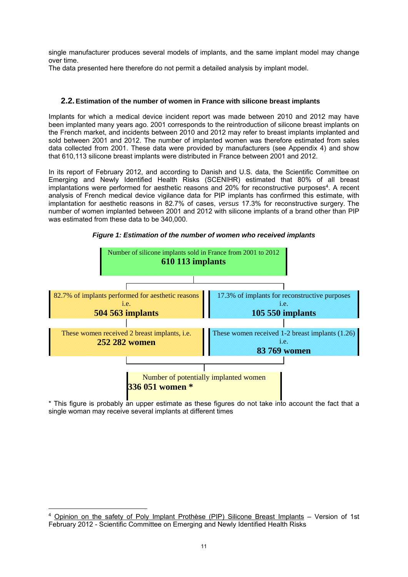single manufacturer produces several models of implants, and the same implant model may change over time.

The data presented here therefore do not permit a detailed analysis by implant model.

## **2.2. Estimation of the number of women in France with silicone breast implants**

Implants for which a medical device incident report was made between 2010 and 2012 may have been implanted many years ago. 2001 corresponds to the reintroduction of silicone breast implants on the French market, and incidents between 2010 and 2012 may refer to breast implants implanted and sold between 2001 and 2012. The number of implanted women was therefore estimated from sales data collected from 2001. These data were provided by manufacturers (see Appendix 4) and show that 610,113 silicone breast implants were distributed in France between 2001 and 2012.

In its report of February 2012, and according to Danish and U.S. data, the Scientific Committee on Emerging and Newly Identified Health Risks (SCENIHR) estimated that 80% of all breast implantations were performed for aesthetic reasons and 20% for reconstructive purposes<sup>4</sup>. A recent analysis of French medical device vigilance data for PIP implants has confirmed this estimate, with implantation for aesthetic reasons in 82.7% of cases, *versus* 17.3% for reconstructive surgery. The number of women implanted between 2001 and 2012 with silicone implants of a brand other than PIP was estimated from these data to be 340,000.





\* This figure is probably an upper estimate as these figures do not take into account the fact that a single woman may receive several implants at different times

<u>.</u>

<sup>4</sup> Opinion on the safety of Poly Implant Prothèse (PIP) Silicone Breast Implants – Version of 1st February 2012 - Scientific Committee on Emerging and Newly Identified Health Risks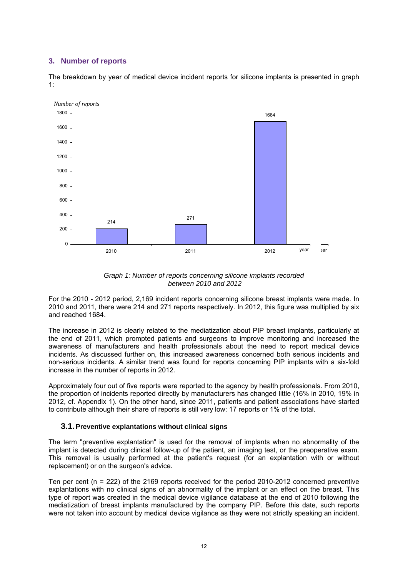## **3. Number of reports**

The breakdown by year of medical device incident reports for silicone implants is presented in graph 1:



*Graph 1: Number of reports concerning silicone implants recorded between 2010 and 2012* 

For the 2010 - 2012 period, 2,169 incident reports concerning silicone breast implants were made. In 2010 and 2011, there were 214 and 271 reports respectively. In 2012, this figure was multiplied by six and reached 1684.

The increase in 2012 is clearly related to the mediatization about PIP breast implants, particularly at the end of 2011, which prompted patients and surgeons to improve monitoring and increased the awareness of manufacturers and health professionals about the need to report medical device incidents. As discussed further on, this increased awareness concerned both serious incidents and non-serious incidents. A similar trend was found for reports concerning PIP implants with a six-fold increase in the number of reports in 2012.

Approximately four out of five reports were reported to the agency by health professionals. From 2010, the proportion of incidents reported directly by manufacturers has changed little (16% in 2010, 19% in 2012, cf. Appendix 1). On the other hand, since 2011, patients and patient associations have started to contribute although their share of reports is still very low: 17 reports or 1% of the total.

## **3.1. Preventive explantations without clinical signs**

The term "preventive explantation" is used for the removal of implants when no abnormality of the implant is detected during clinical follow-up of the patient, an imaging test, or the preoperative exam. This removal is usually performed at the patient's request (for an explantation with or without replacement) or on the surgeon's advice.

Ten per cent (n = 222) of the 2169 reports received for the period 2010-2012 concerned preventive explantations with no clinical signs of an abnormality of the implant or an effect on the breast. This type of report was created in the medical device vigilance database at the end of 2010 following the mediatization of breast implants manufactured by the company PIP. Before this date, such reports were not taken into account by medical device vigilance as they were not strictly speaking an incident.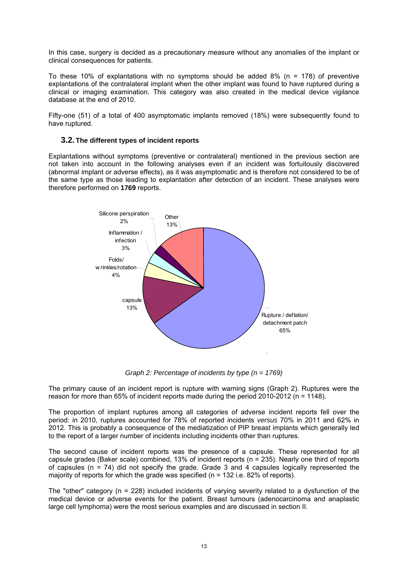In this case, surgery is decided as a precautionary measure without any anomalies of the implant or clinical consequences for patients.

To these 10% of explantations with no symptoms should be added  $8\%$  (n = 178) of preventive explantations of the contralateral implant when the other implant was found to have ruptured during a clinical or imaging examination. This category was also created in the medical device vigilance database at the end of 2010.

Fifty-one (51) of a total of 400 asymptomatic implants removed (18%) were subsequently found to have ruptured.

#### **3.2. The different types of incident reports**

Explantations without symptoms (preventive or contralateral) mentioned in the previous section are not taken into account in the following analyses even if an incident was fortuitously discovered (abnormal implant or adverse effects), as it was asymptomatic and is therefore not considered to be of the same type as those leading to explantation after detection of an incident. These analyses were therefore performed on **1769** reports.



*Graph 2: Percentage of incidents by type (n = 1769)* 

The primary cause of an incident report is rupture with warning signs (Graph 2). Ruptures were the reason for more than 65% of incident reports made during the period 2010-2012 (n = 1148).

The proportion of implant ruptures among all categories of adverse incident reports fell over the period: in 2010, ruptures accounted for 78% of reported incidents *versus* 70% in 2011 and 62% in 2012. This is probably a consequence of the mediatization of PIP breast implants which generally led to the report of a larger number of incidents including incidents other than ruptures.

The second cause of incident reports was the presence of a capsule. These represented for all capsule grades (Baker scale) combined, 13% of incident reports (n = 235). Nearly one third of reports of capsules ( $n = 74$ ) did not specify the grade. Grade 3 and 4 capsules logically represented the majority of reports for which the grade was specified (n = 132 i.e. 82% of reports).

The "other" category (n = 228) included incidents of varying severity related to a dysfunction of the medical device or adverse events for the patient. Breast tumours (adenocarcinoma and anaplastic large cell lymphoma) were the most serious examples and are discussed in section II.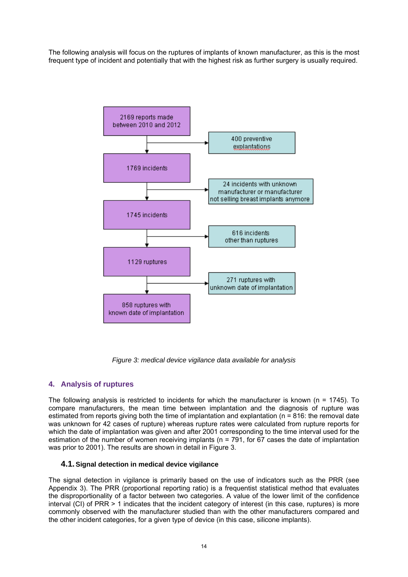The following analysis will focus on the ruptures of implants of known manufacturer, as this is the most frequent type of incident and potentially that with the highest risk as further surgery is usually required.



*Figure 3: medical device vigilance data available for analysis*

## **4. Analysis of ruptures**

The following analysis is restricted to incidents for which the manufacturer is known (n = 1745). To compare manufacturers, the mean time between implantation and the diagnosis of rupture was estimated from reports giving both the time of implantation and explantation (n = 816: the removal date was unknown for 42 cases of rupture) whereas rupture rates were calculated from rupture reports for which the date of implantation was given and after 2001 corresponding to the time interval used for the estimation of the number of women receiving implants ( $n = 791$ , for 67 cases the date of implantation was prior to 2001). The results are shown in detail in Figure 3.

## **4.1. Signal detection in medical device vigilance**

The signal detection in vigilance is primarily based on the use of indicators such as the PRR (see Appendix 3). The PRR (proportional reporting ratio) is a frequentist statistical method that evaluates the disproportionality of a factor between two categories. A value of the lower limit of the confidence interval (CI) of PRR > 1 indicates that the incident category of interest (in this case, ruptures) is more commonly observed with the manufacturer studied than with the other manufacturers compared and the other incident categories, for a given type of device (in this case, silicone implants).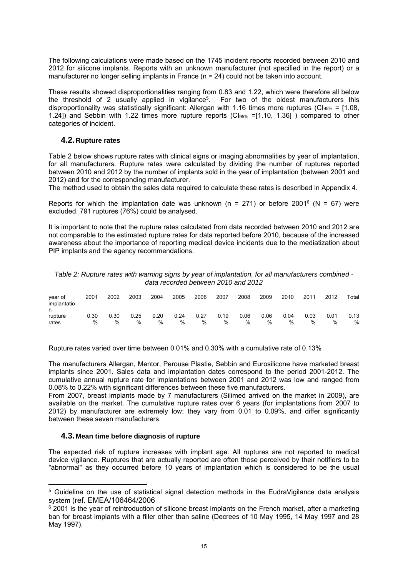The following calculations were made based on the 1745 incident reports recorded between 2010 and 2012 for silicone implants. Reports with an unknown manufacturer (not specified in the report) or a manufacturer no longer selling implants in France (n = 24) could not be taken into account.

These results showed disproportionalities ranging from 0.83 and 1.22, which were therefore all below the threshold of 2 usually applied in vigilance5. For two of the oldest manufacturers this disproportionality was statistically significant: Allergan with 1.16 times more ruptures (CI<sub>95%</sub> = [1.08, 1.24]) and Sebbin with 1.22 times more rupture reports (CI95% =[1.10, 1.36] ) compared to other categories of incident.

## **4.2. Rupture rates**

Table 2 below shows rupture rates with clinical signs or imaging abnormalities by year of implantation, for all manufacturers. Rupture rates were calculated by dividing the number of ruptures reported between 2010 and 2012 by the number of implants sold in the year of implantation (between 2001 and 2012) and for the corresponding manufacturer.

The method used to obtain the sales data required to calculate these rates is described in Appendix 4.

Reports for which the implantation date was unknown ( $n = 271$ ) or before 2001<sup>6</sup> ( $N = 67$ ) were excluded. 791 ruptures (76%) could be analysed.

It is important to note that the rupture rates calculated from data recorded between 2010 and 2012 are not comparable to the estimated rupture rates for data reported before 2010, because of the increased awareness about the importance of reporting medical device incidents due to the mediatization about PIP implants and the agency recommendations.

| Table 2: Rupture rates with warning signs by year of implantation, for all manufacturers combined - |
|-----------------------------------------------------------------------------------------------------|
| data recorded between 2010 and 2012                                                                 |

| year of<br>implantatio | 2001      | 2002      | 2003      | 2004      | 2005         | 2006      | 2007      | 2008      | 2009      | 2010         | 2011         | 2012      | Total     |
|------------------------|-----------|-----------|-----------|-----------|--------------|-----------|-----------|-----------|-----------|--------------|--------------|-----------|-----------|
| n<br>rupture<br>rates  | 0.30<br>% | 0.30<br>% | 0.25<br>% | 0.20<br>% | 0.24<br>$\%$ | 0.27<br>% | 0.19<br>% | 0.06<br>% | 0.06<br>% | 0.04<br>$\%$ | 0.03<br>$\%$ | 0.01<br>% | 0.13<br>% |

Rupture rates varied over time between 0.01% and 0.30% with a cumulative rate of 0.13%

The manufacturers Allergan, Mentor, Perouse Plastie, Sebbin and Eurosilicone have marketed breast implants since 2001. Sales data and implantation dates correspond to the period 2001-2012. The cumulative annual rupture rate for implantations between 2001 and 2012 was low and ranged from 0.08% to 0.22% with significant differences between these five manufacturers.

From 2007, breast implants made by 7 manufacturers (Silimed arrived on the market in 2009), are available on the market. The cumulative rupture rates over 6 years (for implantations from 2007 to 2012) by manufacturer are extremely low; they vary from 0.01 to 0.09%, and differ significantly between these seven manufacturers.

#### **4.3. Mean time before diagnosis of rupture**

<u>.</u>

The expected risk of rupture increases with implant age. All ruptures are not reported to medical device vigilance. Ruptures that are actually reported are often those perceived by their notifiers to be "abnormal" as they occurred before 10 years of implantation which is considered to be the usual

<sup>5</sup> Guideline on the use of statistical signal detection methods in the EudraVigilance data analysis system (ref. EMEA/106464/2006

 $6$  2001 is the year of reintroduction of silicone breast implants on the French market, after a marketing ban for breast implants with a filler other than saline (Decrees of 10 May 1995, 14 May 1997 and 28 May 1997).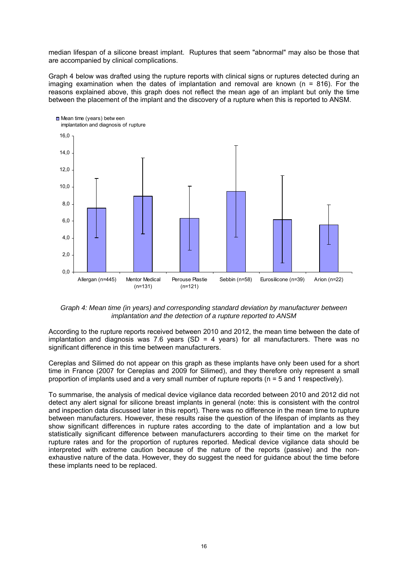median lifespan of a silicone breast implant. Ruptures that seem "abnormal" may also be those that are accompanied by clinical complications.

Graph 4 below was drafted using the rupture reports with clinical signs or ruptures detected during an imaging examination when the dates of implantation and removal are known ( $n = 816$ ). For the reasons explained above, this graph does not reflect the mean age of an implant but only the time between the placement of the implant and the discovery of a rupture when this is reported to ANSM.



*Graph 4: Mean time (in years) and corresponding standard deviation by manufacturer between implantation and the detection of a rupture reported to ANSM* 

According to the rupture reports received between 2010 and 2012, the mean time between the date of implantation and diagnosis was 7.6 years (SD = 4 years) for all manufacturers. There was no significant difference in this time between manufacturers.

Cereplas and Silimed do not appear on this graph as these implants have only been used for a short time in France (2007 for Cereplas and 2009 for Silimed), and they therefore only represent a small proportion of implants used and a very small number of rupture reports (n = 5 and 1 respectively).

To summarise, the analysis of medical device vigilance data recorded between 2010 and 2012 did not detect any alert signal for silicone breast implants in general (note: this is consistent with the control and inspection data discussed later in this report). There was no difference in the mean time to rupture between manufacturers. However, these results raise the question of the lifespan of implants as they show significant differences in rupture rates according to the date of implantation and a low but statistically significant difference between manufacturers according to their time on the market for rupture rates and for the proportion of ruptures reported. Medical device vigilance data should be interpreted with extreme caution because of the nature of the reports (passive) and the nonexhaustive nature of the data. However, they do suggest the need for guidance about the time before these implants need to be replaced.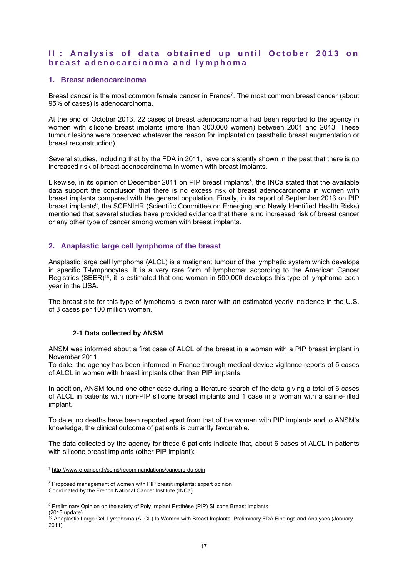# **II: Analysis of data obtained up until October 2013 on breast adenocarcinoma and lymphoma**

## **1. Breast adenocarcinoma**

Breast cancer is the most common female cancer in France7. The most common breast cancer (about 95% of cases) is adenocarcinoma.

At the end of October 2013, 22 cases of breast adenocarcinoma had been reported to the agency in women with silicone breast implants (more than 300,000 women) between 2001 and 2013. These tumour lesions were observed whatever the reason for implantation (aesthetic breast augmentation or breast reconstruction).

Several studies, including that by the FDA in 2011, have consistently shown in the past that there is no increased risk of breast adenocarcinoma in women with breast implants.

Likewise, in its opinion of December 2011 on PIP breast implants<sup>8</sup>, the INCa stated that the available data support the conclusion that there is no excess risk of breast adenocarcinoma in women with breast implants compared with the general population. Finally, in its report of September 2013 on PIP breast implants<sup>9</sup>, the SCENIHR (Scientific Committee on Emerging and Newly Identified Health Risks) mentioned that several studies have provided evidence that there is no increased risk of breast cancer or any other type of cancer among women with breast implants.

## **2. Anaplastic large cell lymphoma of the breast**

Anaplastic large cell lymphoma (ALCL) is a malignant tumour of the lymphatic system which develops in specific T-lymphocytes. It is a very rare form of lymphoma: according to the American Cancer Registries (SEER)<sup>10</sup>, it is estimated that one woman in 500,000 develops this type of lymphoma each year in the USA.

The breast site for this type of lymphoma is even rarer with an estimated yearly incidence in the U.S. of 3 cases per 100 million women.

## **2-1 Data collected by ANSM**

ANSM was informed about a first case of ALCL of the breast in a woman with a PIP breast implant in November 2011.

To date, the agency has been informed in France through medical device vigilance reports of 5 cases of ALCL in women with breast implants other than PIP implants.

In addition, ANSM found one other case during a literature search of the data giving a total of 6 cases of ALCL in patients with non-PIP silicone breast implants and 1 case in a woman with a saline-filled implant.

To date, no deaths have been reported apart from that of the woman with PIP implants and to ANSM's knowledge, the clinical outcome of patients is currently favourable.

The data collected by the agency for these 6 patients indicate that, about 6 cases of ALCL in patients with silicone breast implants (other PIP implant):

<u>.</u>

<sup>&</sup>lt;sup>7</sup> http://www.e-cancer.fr/soins/recommandations/cancers-du-sein

<sup>&</sup>lt;sup>8</sup> Proposed management of women with PIP breast implants: expert opinion Coordinated by the French National Cancer Institute (INCa)

<sup>&</sup>lt;sup>9</sup> Preliminary Opinion on the safety of Poly Implant Prothèse (PIP) Silicone Breast Implants (2013 update)

<sup>&</sup>lt;sup>10</sup> Anaplastic Large Cell Lymphoma (ALCL) In Women with Breast Implants: Preliminary FDA Findings and Analyses (January 2011)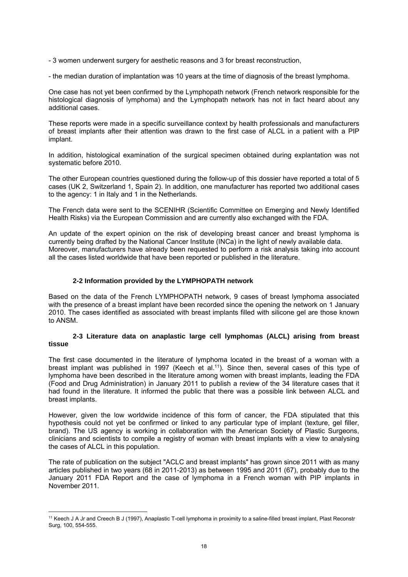- 3 women underwent surgery for aesthetic reasons and 3 for breast reconstruction,

- the median duration of implantation was 10 years at the time of diagnosis of the breast lymphoma.

One case has not yet been confirmed by the Lymphopath network (French network responsible for the histological diagnosis of lymphoma) and the Lymphopath network has not in fact heard about any additional cases.

These reports were made in a specific surveillance context by health professionals and manufacturers of breast implants after their attention was drawn to the first case of ALCL in a patient with a PIP implant.

In addition, histological examination of the surgical specimen obtained during explantation was not systematic before 2010.

The other European countries questioned during the follow-up of this dossier have reported a total of 5 cases (UK 2, Switzerland 1, Spain 2). In addition, one manufacturer has reported two additional cases to the agency: 1 in Italy and 1 in the Netherlands.

The French data were sent to the SCENIHR (Scientific Committee on Emerging and Newly Identified Health Risks) via the European Commission and are currently also exchanged with the FDA.

An update of the expert opinion on the risk of developing breast cancer and breast lymphoma is currently being drafted by the National Cancer Institute (INCa) in the light of newly available data. Moreover, manufacturers have already been requested to perform a risk analysis taking into account all the cases listed worldwide that have been reported or published in the literature.

## **2-2 Information provided by the LYMPHOPATH network**

Based on the data of the French LYMPHOPATH network, 9 cases of breast lymphoma associated with the presence of a breast implant have been recorded since the opening the network on 1 January 2010. The cases identified as associated with breast implants filled with silicone gel are those known to ANSM.

#### **2-3 Literature data on anaplastic large cell lymphomas (ALCL) arising from breast tissue**

The first case documented in the literature of lymphoma located in the breast of a woman with a breast implant was published in 1997 (Keech et al.<sup>11</sup>). Since then, several cases of this type of lymphoma have been described in the literature among women with breast implants, leading the FDA (Food and Drug Administration) in January 2011 to publish a review of the 34 literature cases that it had found in the literature. It informed the public that there was a possible link between ALCL and breast implants.

However, given the low worldwide incidence of this form of cancer, the FDA stipulated that this hypothesis could not yet be confirmed or linked to any particular type of implant (texture, gel filler, brand). The US agency is working in collaboration with the American Society of Plastic Surgeons, clinicians and scientists to compile a registry of woman with breast implants with a view to analysing the cases of ALCL in this population.

The rate of publication on the subject "ACLC and breast implants" has grown since 2011 with as many articles published in two years (68 in 2011-2013) as between 1995 and 2011 (67), probably due to the January 2011 FDA Report and the case of lymphoma in a French woman with PIP implants in November 2011.

1

<sup>11</sup> Keech J A Jr and Creech B J (1997), Anaplastic T-cell lymphoma in proximity to a saline-filled breast implant, Plast Reconstr Surg, 100, 554-555.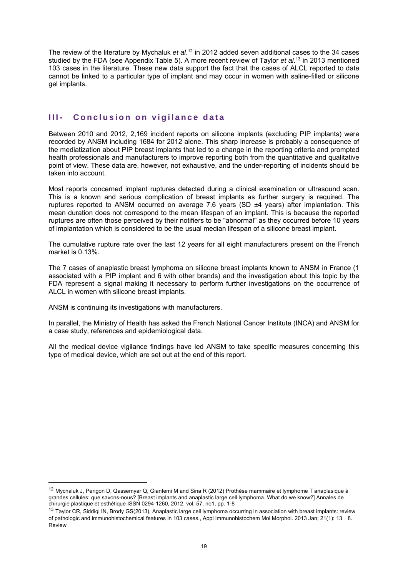The review of the literature by Mychaluk *et al*. 12 in 2012 added seven additional cases to the 34 cases studied by the FDA (see Appendix Table 5). A more recent review of Taylor *et al*. 13 in 2013 mentioned 103 cases in the literature. These new data support the fact that the cases of ALCL reported to date cannot be linked to a particular type of implant and may occur in women with saline-filled or silicone gel implants.

## **III- Conclusion on vigilance data**

Between 2010 and 2012, 2,169 incident reports on silicone implants (excluding PIP implants) were recorded by ANSM including 1684 for 2012 alone. This sharp increase is probably a consequence of the mediatization about PIP breast implants that led to a change in the reporting criteria and prompted health professionals and manufacturers to improve reporting both from the quantitative and qualitative point of view. These data are, however, not exhaustive, and the under-reporting of incidents should be taken into account.

Most reports concerned implant ruptures detected during a clinical examination or ultrasound scan. This is a known and serious complication of breast implants as further surgery is required. The ruptures reported to ANSM occurred on average 7.6 years (SD ±4 years) after implantation. This mean duration does not correspond to the mean lifespan of an implant. This is because the reported ruptures are often those perceived by their notifiers to be "abnormal" as they occurred before 10 years of implantation which is considered to be the usual median lifespan of a silicone breast implant.

The cumulative rupture rate over the last 12 years for all eight manufacturers present on the French market is 0.13%.

The 7 cases of anaplastic breast lymphoma on silicone breast implants known to ANSM in France (1 associated with a PIP implant and 6 with other brands) and the investigation about this topic by the FDA represent a signal making it necessary to perform further investigations on the occurrence of ALCL in women with silicone breast implants.

ANSM is continuing its investigations with manufacturers.

1

In parallel, the Ministry of Health has asked the French National Cancer Institute (INCA) and ANSM for a case study, references and epidemiological data.

All the medical device vigilance findings have led ANSM to take specific measures concerning this type of medical device, which are set out at the end of this report.

<sup>&</sup>lt;sup>12</sup> Mychaluk J, Perigon D, Qassemyar Q, Gianfemi M and Sina R (2012) Prothèse mammaire et lymphome T anaplasique à grandes cellules: que savons-nous? [Breast implants and anaplastic large cell lymphoma. What do we know?] Annales de chirurgie plastique et esthétique ISSN 0294-1260, 2012, vol. 57, no1, pp. 1-8

<sup>&</sup>lt;sup>13</sup> Taylor CR, Siddiqi IN, Brody GS(2013), Anaplastic large cell lymphoma occurring in association with breast implants: review of pathologic and immunohistochemical features in 103 cases., Appl Immunohistochem Mol Morphol. 2013 Jan; 21(1): 13‐8. Review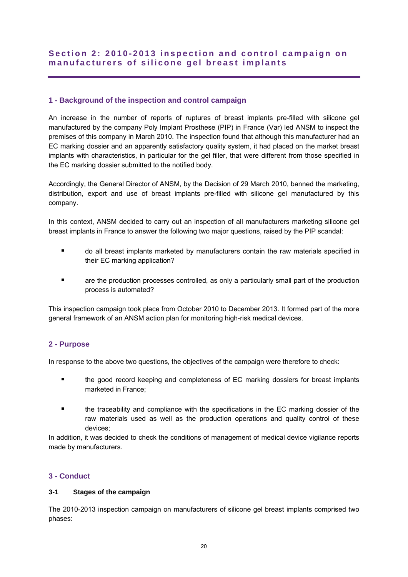# **Section 2: 2010-2013 inspect ion and control campaign on manufacturers of silicone gel breast implants**

## **1 - Background of the inspection and control campaign**

An increase in the number of reports of ruptures of breast implants pre-filled with silicone gel manufactured by the company Poly Implant Prosthese (PIP) in France (Var) led ANSM to inspect the premises of this company in March 2010. The inspection found that although this manufacturer had an EC marking dossier and an apparently satisfactory quality system, it had placed on the market breast implants with characteristics, in particular for the gel filler, that were different from those specified in the EC marking dossier submitted to the notified body.

Accordingly, the General Director of ANSM, by the Decision of 29 March 2010, banned the marketing, distribution, export and use of breast implants pre-filled with silicone gel manufactured by this company.

In this context, ANSM decided to carry out an inspection of all manufacturers marketing silicone gel breast implants in France to answer the following two major questions, raised by the PIP scandal:

- do all breast implants marketed by manufacturers contain the raw materials specified in their EC marking application?
- **Example 2** are the production processes controlled, as only a particularly small part of the production process is automated?

This inspection campaign took place from October 2010 to December 2013. It formed part of the more general framework of an ANSM action plan for monitoring high-risk medical devices.

## **2 - Purpose**

In response to the above two questions, the objectives of the campaign were therefore to check:

- the good record keeping and completeness of EC marking dossiers for breast implants marketed in France;
- the traceability and compliance with the specifications in the EC marking dossier of the raw materials used as well as the production operations and quality control of these devices;

In addition, it was decided to check the conditions of management of medical device vigilance reports made by manufacturers.

## **3 - Conduct**

## **3-1 Stages of the campaign**

The 2010-2013 inspection campaign on manufacturers of silicone gel breast implants comprised two phases: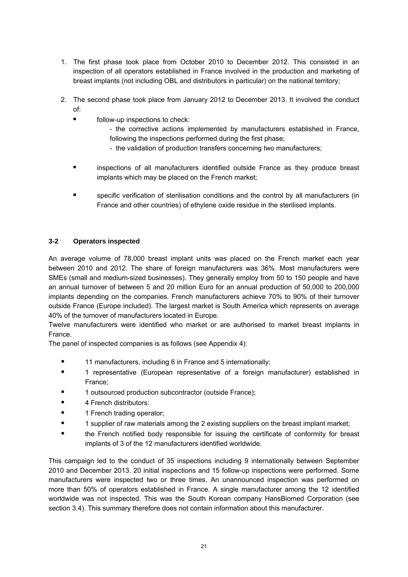- 1. The first phase took place from October 2010 to December 2012. This consisted in an inspection of all operators established in France involved in the production and marketing of breast implants (not including OBL and distributors in particular) on the national territory;
- 2. The second phase took place from January 2012 to December 2013. It involved the conduct of:
	- follow-up inspections to check:
		- the corrective actions implemented by manufacturers established in France, following the inspections performed during the first phase;
		- the validation of production transfers concerning two manufacturers;
	- inspections of all manufacturers identified outside France as they produce breast implants which may be placed on the French market;
	- specific verification of sterilisation conditions and the control by all manufacturers (in France and other countries) of ethylene oxide residue in the sterilised implants.

## **3-2 Operators inspected**

An average volume of 78,000 breast implant units was placed on the French market each year between 2010 and 2012. The share of foreign manufacturers was 36%. Most manufacturers were SMEs (small and medium-sized businesses). They generally employ from 50 to 150 people and have an annual turnover of between 5 and 20 million Euro for an annual production of 50,000 to 200,000 implants depending on the companies. French manufacturers achieve 70% to 90% of their turnover outside France (Europe included). The largest market is South America which represents on average 40% of the turnover of manufacturers located in Europe.

Twelve manufacturers were identified who market or are authorised to market breast implants in France.

The panel of inspected companies is as follows (see Appendix 4):

- **11 manufacturers, including 6 in France and 5 internationally;**
- 1 representative (European representative of a foreign manufacturer) established in France;
- 1 outsourced production subcontractor (outside France):
- 4 French distributors:
- **1** 1 French trading operator;
- **1** supplier of raw materials among the 2 existing suppliers on the breast implant market;
- the French notified body responsible for issuing the certificate of conformity for breast implants of 3 of the 12 manufacturers identified worldwide.

This campaign led to the conduct of 35 inspections including 9 internationally between September 2010 and December 2013. 20 initial inspections and 15 follow-up inspections were performed. Some manufacturers were inspected two or three times. An unannounced inspection was performed on more than 50% of operators established in France. A single manufacturer among the 12 identified worldwide was not inspected. This was the South Korean company HansBiomed Corporation (see section 3.4). This summary therefore does not contain information about this manufacturer.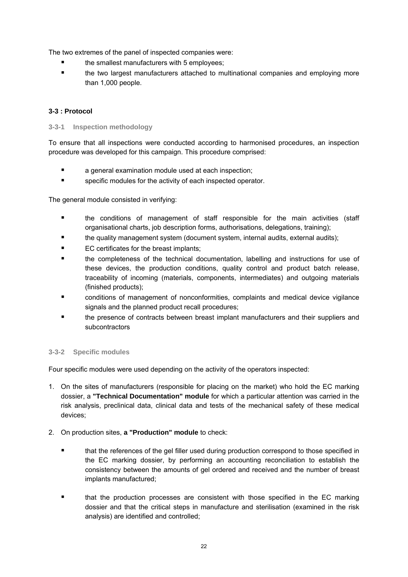The two extremes of the panel of inspected companies were:

- the smallest manufacturers with 5 employees;
- the two largest manufacturers attached to multinational companies and employing more than 1,000 people.

## **3-3 : Protocol**

## **3-3-1 Inspection methodology**

To ensure that all inspections were conducted according to harmonised procedures, an inspection procedure was developed for this campaign. This procedure comprised:

- a general examination module used at each inspection;
- **Example 3** specific modules for the activity of each inspected operator.

The general module consisted in verifying:

- the conditions of management of staff responsible for the main activities (staff organisational charts, job description forms, authorisations, delegations, training);
- the quality management system (document system, internal audits, external audits);
- **EC certificates for the breast implants;**
- the completeness of the technical documentation, labelling and instructions for use of these devices, the production conditions, quality control and product batch release, traceability of incoming (materials, components, intermediates) and outgoing materials (finished products);
- conditions of management of nonconformities, complaints and medical device vigilance signals and the planned product recall procedures;
- the presence of contracts between breast implant manufacturers and their suppliers and subcontractors

## **3-3-2 Specific modules**

Four specific modules were used depending on the activity of the operators inspected:

- 1. On the sites of manufacturers (responsible for placing on the market) who hold the EC marking dossier, a **"Technical Documentation" module** for which a particular attention was carried in the risk analysis, preclinical data, clinical data and tests of the mechanical safety of these medical devices;
- 2. On production sites, **a "Production" module** to check:
	- that the references of the gel filler used during production correspond to those specified in the EC marking dossier, by performing an accounting reconciliation to establish the consistency between the amounts of gel ordered and received and the number of breast implants manufactured;
	- that the production processes are consistent with those specified in the EC marking dossier and that the critical steps in manufacture and sterilisation (examined in the risk analysis) are identified and controlled;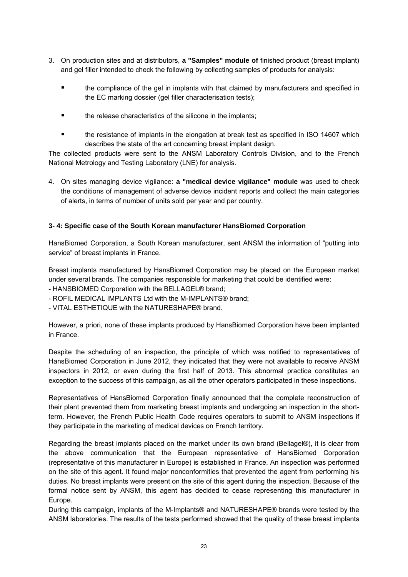- 3. On production sites and at distributors, **a "Samples" module of** finished product (breast implant) and gel filler intended to check the following by collecting samples of products for analysis:
	- the compliance of the gel in implants with that claimed by manufacturers and specified in the EC marking dossier (gel filler characterisation tests);
	- **the release characteristics of the silicone in the implants:**
	- the resistance of implants in the elongation at break test as specified in ISO 14607 which describes the state of the art concerning breast implant design.

The collected products were sent to the ANSM Laboratory Controls Division, and to the French National Metrology and Testing Laboratory (LNE) for analysis.

4. On sites managing device vigilance: **a "medical device vigilance" module** was used to check the conditions of management of adverse device incident reports and collect the main categories of alerts, in terms of number of units sold per year and per country.

## **3- 4: Specific case of the South Korean manufacturer HansBiomed Corporation**

HansBiomed Corporation, a South Korean manufacturer, sent ANSM the information of "putting into service" of breast implants in France.

Breast implants manufactured by HansBiomed Corporation may be placed on the European market under several brands. The companies responsible for marketing that could be identified were:

- HANSBIOMED Corporation with the BELLAGEL® brand;

- ROFIL MEDICAL IMPLANTS Ltd with the M-IMPLANTS® brand;
- VITAL ESTHETIQUE with the NATURESHAPE® brand.

However, a priori, none of these implants produced by HansBiomed Corporation have been implanted in France.

Despite the scheduling of an inspection, the principle of which was notified to representatives of HansBiomed Corporation in June 2012, they indicated that they were not available to receive ANSM inspectors in 2012, or even during the first half of 2013. This abnormal practice constitutes an exception to the success of this campaign, as all the other operators participated in these inspections.

Representatives of HansBiomed Corporation finally announced that the complete reconstruction of their plant prevented them from marketing breast implants and undergoing an inspection in the shortterm. However, the French Public Health Code requires operators to submit to ANSM inspections if they participate in the marketing of medical devices on French territory.

Regarding the breast implants placed on the market under its own brand (Bellagel®), it is clear from the above communication that the European representative of HansBiomed Corporation (representative of this manufacturer in Europe) is established in France. An inspection was performed on the site of this agent. It found major nonconformities that prevented the agent from performing his duties. No breast implants were present on the site of this agent during the inspection. Because of the formal notice sent by ANSM, this agent has decided to cease representing this manufacturer in Europe.

During this campaign, implants of the M-Implants® and NATURESHAPE® brands were tested by the ANSM laboratories. The results of the tests performed showed that the quality of these breast implants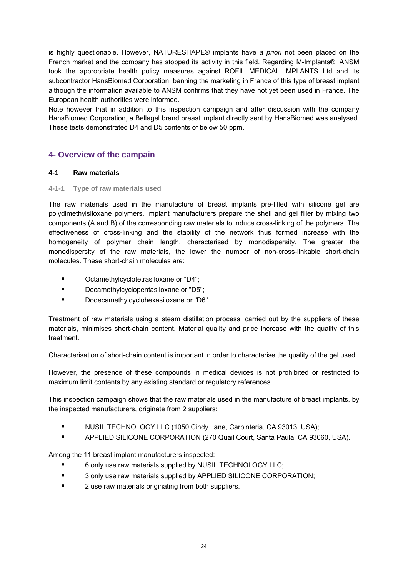is highly questionable. However, NATURESHAPE® implants have *a priori* not been placed on the French market and the company has stopped its activity in this field. Regarding M-Implants®, ANSM took the appropriate health policy measures against ROFIL MEDICAL IMPLANTS Ltd and its subcontractor HansBiomed Corporation, banning the marketing in France of this type of breast implant although the information available to ANSM confirms that they have not yet been used in France. The European health authorities were informed.

Note however that in addition to this inspection campaign and after discussion with the company HansBiomed Corporation, a Bellagel brand breast implant directly sent by HansBiomed was analysed. These tests demonstrated D4 and D5 contents of below 50 ppm.

# **4- Overview of the campain**

## **4-1 Raw materials**

## **4-1-1 Type of raw materials used**

The raw materials used in the manufacture of breast implants pre-filled with silicone gel are polydimethylsiloxane polymers. Implant manufacturers prepare the shell and gel filler by mixing two components (A and B) of the corresponding raw materials to induce cross-linking of the polymers. The effectiveness of cross-linking and the stability of the network thus formed increase with the homogeneity of polymer chain length, characterised by monodispersity. The greater the monodispersity of the raw materials, the lower the number of non-cross-linkable short-chain molecules. These short-chain molecules are:

- Octamethylcyclotetrasiloxane or "D4";
- **Decamethylcyclopentasiloxane or "D5":**
- Dodecamethylcyclohexasiloxane or "D6"...

Treatment of raw materials using a steam distillation process, carried out by the suppliers of these materials, minimises short-chain content. Material quality and price increase with the quality of this treatment.

Characterisation of short-chain content is important in order to characterise the quality of the gel used.

However, the presence of these compounds in medical devices is not prohibited or restricted to maximum limit contents by any existing standard or regulatory references.

This inspection campaign shows that the raw materials used in the manufacture of breast implants, by the inspected manufacturers, originate from 2 suppliers:

- **NUSIL TECHNOLOGY LLC (1050 Cindy Lane, Carpinteria, CA 93013, USA);**
- **APPLIED SILICONE CORPORATION (270 Quail Court, Santa Paula, CA 93060, USA).**

Among the 11 breast implant manufacturers inspected:

- 6 only use raw materials supplied by NUSIL TECHNOLOGY LLC;
- **3 only use raw materials supplied by APPLIED SILICONE CORPORATION;**
- 2 use raw materials originating from both suppliers.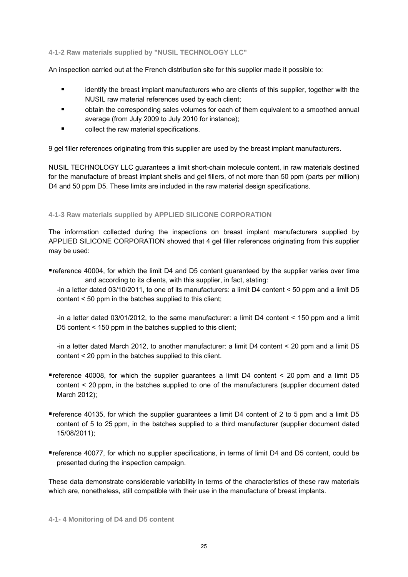#### **4-1-2 Raw materials supplied by "NUSIL TECHNOLOGY LLC"**

An inspection carried out at the French distribution site for this supplier made it possible to:

- identify the breast implant manufacturers who are clients of this supplier, together with the NUSIL raw material references used by each client;
- obtain the corresponding sales volumes for each of them equivalent to a smoothed annual average (from July 2009 to July 2010 for instance);
- $\blacksquare$  collect the raw material specifications.

9 gel filler references originating from this supplier are used by the breast implant manufacturers.

NUSIL TECHNOLOGY LLC guarantees a limit short-chain molecule content, in raw materials destined for the manufacture of breast implant shells and gel fillers, of not more than 50 ppm (parts per million) D4 and 50 ppm D5. These limits are included in the raw material design specifications.

## **4-1-3 Raw materials supplied by APPLIED SILICONE CORPORATION**

The information collected during the inspections on breast implant manufacturers supplied by APPLIED SILICONE CORPORATION showed that 4 gel filler references originating from this supplier may be used:

reference 40004, for which the limit D4 and D5 content guaranteed by the supplier varies over time and according to its clients, with this supplier, in fact, stating:

 -in a letter dated 03/10/2011, to one of its manufacturers: a limit D4 content < 50 ppm and a limit D5 content < 50 ppm in the batches supplied to this client;

 -in a letter dated 03/01/2012, to the same manufacturer: a limit D4 content < 150 ppm and a limit D5 content < 150 ppm in the batches supplied to this client;

 -in a letter dated March 2012, to another manufacturer: a limit D4 content < 20 ppm and a limit D5 content < 20 ppm in the batches supplied to this client.

- reference 40008, for which the supplier guarantees a limit D4 content < 20 ppm and a limit D5 content < 20 ppm, in the batches supplied to one of the manufacturers (supplier document dated March 2012);
- reference 40135, for which the supplier guarantees a limit D4 content of 2 to 5 ppm and a limit D5 content of 5 to 25 ppm, in the batches supplied to a third manufacturer (supplier document dated 15/08/2011);
- reference 40077, for which no supplier specifications, in terms of limit D4 and D5 content, could be presented during the inspection campaign.

These data demonstrate considerable variability in terms of the characteristics of these raw materials which are, nonetheless, still compatible with their use in the manufacture of breast implants.

**4-1- 4 Monitoring of D4 and D5 content**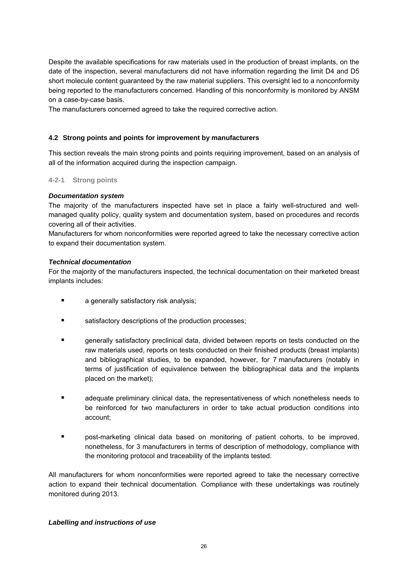Despite the available specifications for raw materials used in the production of breast implants, on the date of the inspection, several manufacturers did not have information regarding the limit D4 and D5 short molecule content guaranteed by the raw material suppliers. This oversight led to a nonconformity being reported to the manufacturers concerned. Handling of this nonconformity is monitored by ANSM on a case-by-case basis.

The manufacturers concerned agreed to take the required corrective action.

## **4.2 Strong points and points for improvement by manufacturers**

This section reveals the main strong points and points requiring improvement, based on an analysis of all of the information acquired during the inspection campaign.

## **4-2-1 Strong points**

## *Documentation system*

The majority of the manufacturers inspected have set in place a fairly well-structured and wellmanaged quality policy, quality system and documentation system, based on procedures and records covering all of their activities.

Manufacturers for whom nonconformities were reported agreed to take the necessary corrective action to expand their documentation system.

## *Technical documentation*

For the majority of the manufacturers inspected, the technical documentation on their marketed breast implants includes:

- **a** a generally satisfactory risk analysis;
- satisfactory descriptions of the production processes;
- **Example 2** generally satisfactory preclinical data, divided between reports on tests conducted on the raw materials used, reports on tests conducted on their finished products (breast implants) and bibliographical studies, to be expanded, however, for 7 manufacturers (notably in terms of justification of equivalence between the bibliographical data and the implants placed on the market);
- adequate preliminary clinical data, the representativeness of which nonetheless needs to be reinforced for two manufacturers in order to take actual production conditions into account;
- **Phonon** post-marketing clinical data based on monitoring of patient cohorts, to be improved, nonetheless, for 3 manufacturers in terms of description of methodology, compliance with the monitoring protocol and traceability of the implants tested.

All manufacturers for whom nonconformities were reported agreed to take the necessary corrective action to expand their technical documentation. Compliance with these undertakings was routinely monitored during 2013.

## *Labelling and instructions of use*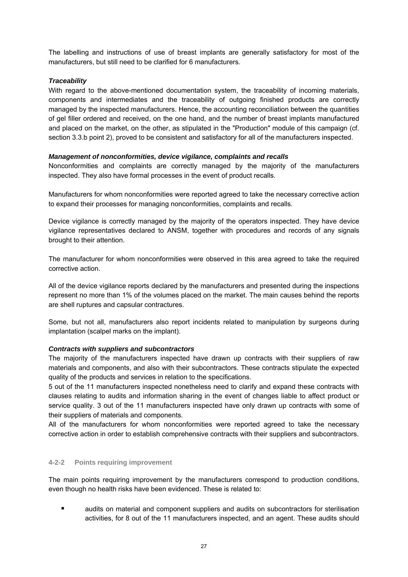The labelling and instructions of use of breast implants are generally satisfactory for most of the manufacturers, but still need to be clarified for 6 manufacturers.

## *Traceability*

With regard to the above-mentioned documentation system, the traceability of incoming materials, components and intermediates and the traceability of outgoing finished products are correctly managed by the inspected manufacturers. Hence, the accounting reconciliation between the quantities of gel filler ordered and received, on the one hand, and the number of breast implants manufactured and placed on the market, on the other, as stipulated in the "Production" module of this campaign (cf. section 3.3.b point 2), proved to be consistent and satisfactory for all of the manufacturers inspected.

## *Management of nonconformities, device vigilance, complaints and recalls*

Nonconformities and complaints are correctly managed by the majority of the manufacturers inspected. They also have formal processes in the event of product recalls.

Manufacturers for whom nonconformities were reported agreed to take the necessary corrective action to expand their processes for managing nonconformities, complaints and recalls.

Device vigilance is correctly managed by the majority of the operators inspected. They have device vigilance representatives declared to ANSM, together with procedures and records of any signals brought to their attention.

The manufacturer for whom nonconformities were observed in this area agreed to take the required corrective action.

All of the device vigilance reports declared by the manufacturers and presented during the inspections represent no more than 1% of the volumes placed on the market. The main causes behind the reports are shell ruptures and capsular contractures.

Some, but not all, manufacturers also report incidents related to manipulation by surgeons during implantation (scalpel marks on the implant).

## *Contracts with suppliers and subcontractors*

The majority of the manufacturers inspected have drawn up contracts with their suppliers of raw materials and components, and also with their subcontractors. These contracts stipulate the expected quality of the products and services in relation to the specifications.

5 out of the 11 manufacturers inspected nonetheless need to clarify and expand these contracts with clauses relating to audits and information sharing in the event of changes liable to affect product or service quality. 3 out of the 11 manufacturers inspected have only drawn up contracts with some of their suppliers of materials and components.

All of the manufacturers for whom nonconformities were reported agreed to take the necessary corrective action in order to establish comprehensive contracts with their suppliers and subcontractors.

## **4-2-2 Points requiring improvement**

The main points requiring improvement by the manufacturers correspond to production conditions, even though no health risks have been evidenced. These is related to:

**E** audits on material and component suppliers and audits on subcontractors for sterilisation activities, for 8 out of the 11 manufacturers inspected, and an agent. These audits should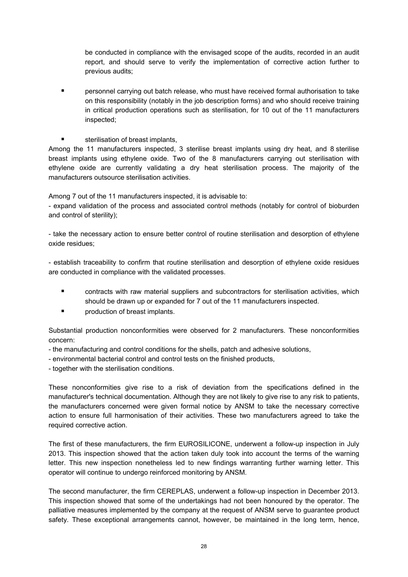be conducted in compliance with the envisaged scope of the audits, recorded in an audit report, and should serve to verify the implementation of corrective action further to previous audits;

- personnel carrying out batch release, who must have received formal authorisation to take on this responsibility (notably in the job description forms) and who should receive training in critical production operations such as sterilisation, for 10 out of the 11 manufacturers inspected;
- sterilisation of breast implants,

Among the 11 manufacturers inspected, 3 sterilise breast implants using dry heat, and 8 sterilise breast implants using ethylene oxide. Two of the 8 manufacturers carrying out sterilisation with ethylene oxide are currently validating a dry heat sterilisation process. The majority of the manufacturers outsource sterilisation activities.

Among 7 out of the 11 manufacturers inspected, it is advisable to:

- expand validation of the process and associated control methods (notably for control of bioburden and control of sterility);

- take the necessary action to ensure better control of routine sterilisation and desorption of ethylene oxide residues;

- establish traceability to confirm that routine sterilisation and desorption of ethylene oxide residues are conducted in compliance with the validated processes.

- contracts with raw material suppliers and subcontractors for sterilisation activities, which should be drawn up or expanded for 7 out of the 11 manufacturers inspected.
- **Part Exercise I** production of breast implants.

Substantial production nonconformities were observed for 2 manufacturers. These nonconformities concern:

- the manufacturing and control conditions for the shells, patch and adhesive solutions,
- environmental bacterial control and control tests on the finished products,
- together with the sterilisation conditions.

These nonconformities give rise to a risk of deviation from the specifications defined in the manufacturer's technical documentation. Although they are not likely to give rise to any risk to patients, the manufacturers concerned were given formal notice by ANSM to take the necessary corrective action to ensure full harmonisation of their activities. These two manufacturers agreed to take the required corrective action.

The first of these manufacturers, the firm EUROSILICONE, underwent a follow-up inspection in July 2013. This inspection showed that the action taken duly took into account the terms of the warning letter. This new inspection nonetheless led to new findings warranting further warning letter. This operator will continue to undergo reinforced monitoring by ANSM.

The second manufacturer, the firm CEREPLAS, underwent a follow-up inspection in December 2013. This inspection showed that some of the undertakings had not been honoured by the operator. The palliative measures implemented by the company at the request of ANSM serve to guarantee product safety. These exceptional arrangements cannot, however, be maintained in the long term, hence,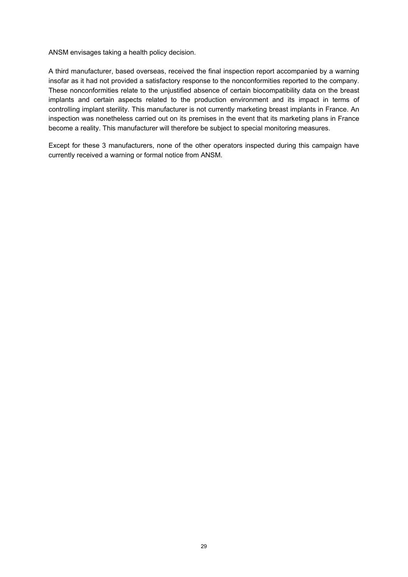ANSM envisages taking a health policy decision.

A third manufacturer, based overseas, received the final inspection report accompanied by a warning insofar as it had not provided a satisfactory response to the nonconformities reported to the company. These nonconformities relate to the unjustified absence of certain biocompatibility data on the breast implants and certain aspects related to the production environment and its impact in terms of controlling implant sterility. This manufacturer is not currently marketing breast implants in France. An inspection was nonetheless carried out on its premises in the event that its marketing plans in France become a reality. This manufacturer will therefore be subject to special monitoring measures.

Except for these 3 manufacturers, none of the other operators inspected during this campaign have currently received a warning or formal notice from ANSM.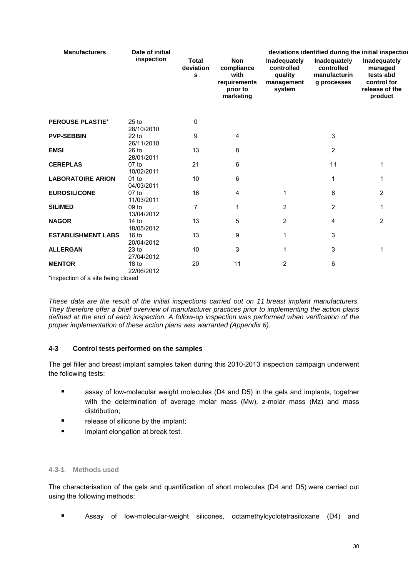| <b>Manufacturers</b>               | Date of initial                |                                |                                                                           |                                                               |                                                           | deviations identified during the initial inspection                              |
|------------------------------------|--------------------------------|--------------------------------|---------------------------------------------------------------------------|---------------------------------------------------------------|-----------------------------------------------------------|----------------------------------------------------------------------------------|
|                                    | inspection                     | <b>Total</b><br>deviation<br>s | <b>Non</b><br>compliance<br>with<br>requirements<br>prior to<br>marketing | Inadequately<br>controlled<br>quality<br>management<br>system | Inadequately<br>controlled<br>manufacturin<br>g processes | Inadequately<br>managed<br>tests abd<br>control for<br>release of the<br>product |
| <b>PEROUSE PLASTIE*</b>            | $25$ to                        | 0                              |                                                                           |                                                               |                                                           |                                                                                  |
|                                    | 28/10/2010                     |                                |                                                                           |                                                               |                                                           |                                                                                  |
| <b>PVP-SEBBIN</b>                  | $22$ to<br>26/11/2010          | 9                              | 4                                                                         |                                                               | 3                                                         |                                                                                  |
| <b>EMSI</b>                        | $26$ to<br>28/01/2011          | 13                             | 8                                                                         |                                                               | $\overline{2}$                                            |                                                                                  |
| <b>CEREPLAS</b>                    | $07$ to<br>10/02/2011          | 21                             | 6                                                                         |                                                               | 11                                                        | 1                                                                                |
| <b>LABORATOIRE ARION</b>           | $01$ to<br>04/03/2011          | 10                             | 6                                                                         |                                                               | 1                                                         | 1                                                                                |
| <b>EUROSILICONE</b>                | $07$ to<br>11/03/2011          | 16                             | 4                                                                         | 1                                                             | 8                                                         | 2                                                                                |
| <b>SILIMED</b>                     | 09 <sub>to</sub><br>13/04/2012 | $\overline{7}$                 | 1                                                                         | $\overline{2}$                                                | 2                                                         | 1                                                                                |
| <b>NAGOR</b>                       | 14 to<br>18/05/2012            | 13                             | 5                                                                         | 2                                                             | 4                                                         | $\overline{2}$                                                                   |
| <b>ESTABLISHMENT LABS</b>          | 16 <sub>to</sub><br>20/04/2012 | 13                             | 9                                                                         | 1                                                             | 3                                                         |                                                                                  |
| <b>ALLERGAN</b>                    | 23 <sub>to</sub><br>27/04/2012 | 10                             | 3                                                                         | 1                                                             | 3                                                         | 1                                                                                |
| <b>MENTOR</b>                      | 18 <sub>to</sub><br>22/06/2012 | 20                             | 11                                                                        | $\overline{2}$                                                | 6                                                         |                                                                                  |
| *inspection of a site being closed |                                |                                |                                                                           |                                                               |                                                           |                                                                                  |

*These data are the result of the initial inspections carried out on 11 breast implant manufacturers. They therefore offer a brief overview of manufacturer practices prior to implementing the action plans defined at the end of each inspection. A follow-up inspection was performed when verification of the proper implementation of these action plans was warranted (Appendix 6).* 

## **4-3 Control tests performed on the samples**

The gel filler and breast implant samples taken during this 2010-2013 inspection campaign underwent the following tests:

- assay of low-molecular weight molecules (D4 and D5) in the gels and implants, together with the determination of average molar mass (Mw), z-molar mass (Mz) and mass distribution;
- **release of silicone by the implant;**
- implant elongation at break test.

## **4-3-1 Methods used**

The characterisation of the gels and quantification of short molecules (D4 and D5) were carried out using the following methods:

Assay of low-molecular-weight silicones, octamethylcyclotetrasiloxane (D4) and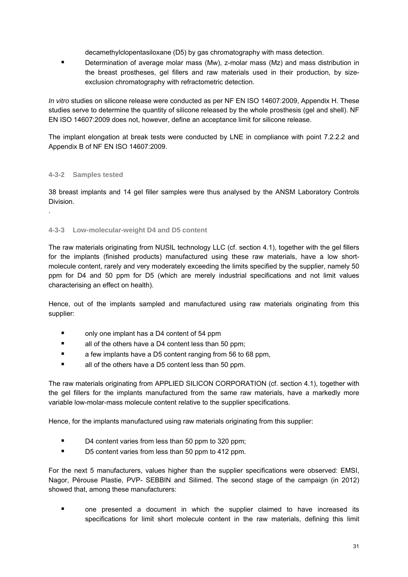decamethylclopentasiloxane (D5) by gas chromatography with mass detection.

**•** Determination of average molar mass (Mw), z-molar mass (Mz) and mass distribution in the breast prostheses, gel fillers and raw materials used in their production, by sizeexclusion chromatography with refractometric detection.

*In vitro* studies on silicone release were conducted as per NF EN ISO 14607:2009, Appendix H. These studies serve to determine the quantity of silicone released by the whole prosthesis (gel and shell). NF EN ISO 14607:2009 does not, however, define an acceptance limit for silicone release.

The implant elongation at break tests were conducted by LNE in compliance with point 7.2.2.2 and Appendix B of NF EN ISO 14607:2009.

## **4-3-2 Samples tested**

.

38 breast implants and 14 gel filler samples were thus analysed by the ANSM Laboratory Controls Division.

## **4-3-3 Low-molecular-weight D4 and D5 content**

The raw materials originating from NUSIL technology LLC (cf. section 4.1), together with the gel fillers for the implants (finished products) manufactured using these raw materials, have a low shortmolecule content, rarely and very moderately exceeding the limits specified by the supplier, namely 50 ppm for D4 and 50 ppm for D5 (which are merely industrial specifications and not limit values characterising an effect on health).

Hence, out of the implants sampled and manufactured using raw materials originating from this supplier:

- only one implant has a D4 content of 54 ppm
- all of the others have a D4 content less than 50 ppm;
- **E** a few implants have a D5 content ranging from 56 to 68 ppm,
- all of the others have a D5 content less than 50 ppm.

The raw materials originating from APPLIED SILICON CORPORATION (cf. section 4.1), together with the gel fillers for the implants manufactured from the same raw materials, have a markedly more variable low-molar-mass molecule content relative to the supplier specifications.

Hence, for the implants manufactured using raw materials originating from this supplier:

- D4 content varies from less than 50 ppm to 320 ppm;
- D5 content varies from less than 50 ppm to 412 ppm.

For the next 5 manufacturers, values higher than the supplier specifications were observed: EMSI, Nagor, Pérouse Plastie, PVP- SEBBIN and Silimed. The second stage of the campaign (in 2012) showed that, among these manufacturers:

 one presented a document in which the supplier claimed to have increased its specifications for limit short molecule content in the raw materials, defining this limit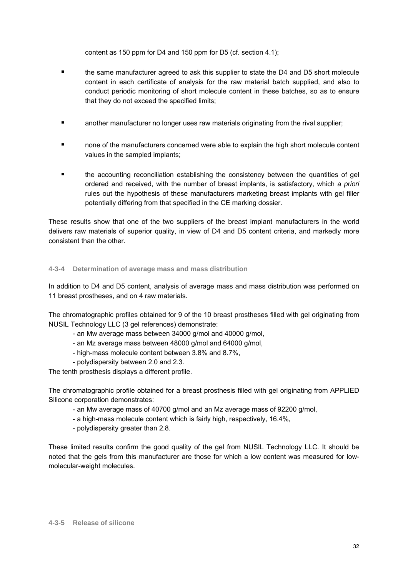content as 150 ppm for D4 and 150 ppm for D5 (cf. section 4.1);

- the same manufacturer agreed to ask this supplier to state the D4 and D5 short molecule content in each certificate of analysis for the raw material batch supplied, and also to conduct periodic monitoring of short molecule content in these batches, so as to ensure that they do not exceed the specified limits;
- **E** another manufacturer no longer uses raw materials originating from the rival supplier;
- none of the manufacturers concerned were able to explain the high short molecule content values in the sampled implants;
- the accounting reconciliation establishing the consistency between the quantities of gel ordered and received, with the number of breast implants, is satisfactory, which *a priori* rules out the hypothesis of these manufacturers marketing breast implants with gel filler potentially differing from that specified in the CE marking dossier.

These results show that one of the two suppliers of the breast implant manufacturers in the world delivers raw materials of superior quality, in view of D4 and D5 content criteria, and markedly more consistent than the other.

## **4-3-4 Determination of average mass and mass distribution**

In addition to D4 and D5 content, analysis of average mass and mass distribution was performed on 11 breast prostheses, and on 4 raw materials.

The chromatographic profiles obtained for 9 of the 10 breast prostheses filled with gel originating from NUSIL Technology LLC (3 gel references) demonstrate:

- an Mw average mass between 34000 g/mol and 40000 g/mol,
- an Mz average mass between 48000 g/mol and 64000 g/mol,
- high-mass molecule content between 3.8% and 8.7%,
- polydispersity between 2.0 and 2.3.

The tenth prosthesis displays a different profile.

The chromatographic profile obtained for a breast prosthesis filled with gel originating from APPLIED Silicone corporation demonstrates:

- an Mw average mass of 40700 g/mol and an Mz average mass of 92200 g/mol,

- a high-mass molecule content which is fairly high, respectively, 16.4%,
- polydispersity greater than 2.8.

These limited results confirm the good quality of the gel from NUSIL Technology LLC. It should be noted that the gels from this manufacturer are those for which a low content was measured for lowmolecular-weight molecules.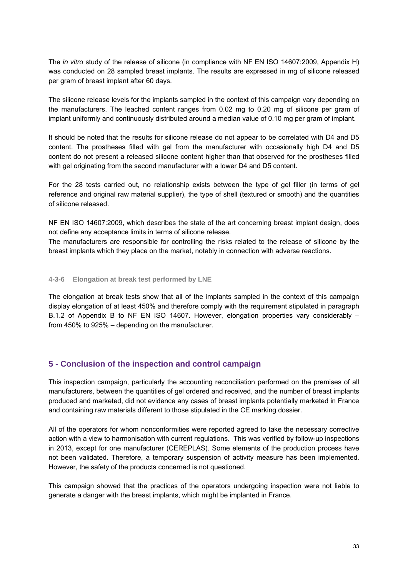The *in vitro* study of the release of silicone (in compliance with NF EN ISO 14607:2009, Appendix H) was conducted on 28 sampled breast implants. The results are expressed in mg of silicone released per gram of breast implant after 60 days.

The silicone release levels for the implants sampled in the context of this campaign vary depending on the manufacturers. The leached content ranges from 0.02 mg to 0.20 mg of silicone per gram of implant uniformly and continuously distributed around a median value of 0.10 mg per gram of implant.

It should be noted that the results for silicone release do not appear to be correlated with D4 and D5 content. The prostheses filled with gel from the manufacturer with occasionally high D4 and D5 content do not present a released silicone content higher than that observed for the prostheses filled with gel originating from the second manufacturer with a lower D4 and D5 content.

For the 28 tests carried out, no relationship exists between the type of gel filler (in terms of gel reference and original raw material supplier), the type of shell (textured or smooth) and the quantities of silicone released.

NF EN ISO 14607:2009, which describes the state of the art concerning breast implant design, does not define any acceptance limits in terms of silicone release.

The manufacturers are responsible for controlling the risks related to the release of silicone by the breast implants which they place on the market, notably in connection with adverse reactions.

#### **4-3-6 Elongation at break test performed by LNE**

The elongation at break tests show that all of the implants sampled in the context of this campaign display elongation of at least 450% and therefore comply with the requirement stipulated in paragraph B.1.2 of Appendix B to NF EN ISO 14607. However, elongation properties vary considerably – from 450% to 925% – depending on the manufacturer.

## **5 - Conclusion of the inspection and control campaign**

This inspection campaign, particularly the accounting reconciliation performed on the premises of all manufacturers, between the quantities of gel ordered and received, and the number of breast implants produced and marketed, did not evidence any cases of breast implants potentially marketed in France and containing raw materials different to those stipulated in the CE marking dossier.

All of the operators for whom nonconformities were reported agreed to take the necessary corrective action with a view to harmonisation with current regulations. This was verified by follow-up inspections in 2013, except for one manufacturer (CEREPLAS). Some elements of the production process have not been validated. Therefore, a temporary suspension of activity measure has been implemented. However, the safety of the products concerned is not questioned.

This campaign showed that the practices of the operators undergoing inspection were not liable to generate a danger with the breast implants, which might be implanted in France.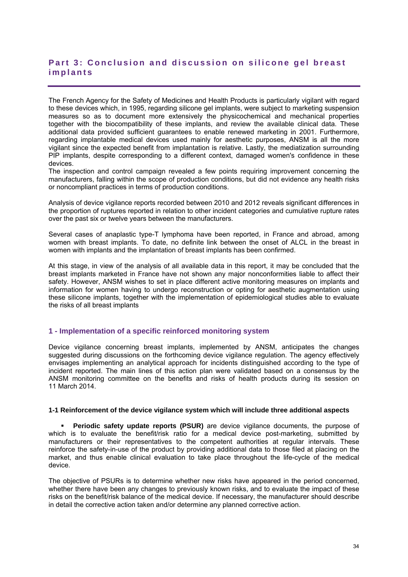# Part 3: Conclusion and discussion on silicone gel breast **implants**

The French Agency for the Safety of Medicines and Health Products is particularly vigilant with regard to these devices which, in 1995, regarding silicone gel implants, were subject to marketing suspension measures so as to document more extensively the physicochemical and mechanical properties together with the biocompatibility of these implants, and review the available clinical data. These additional data provided sufficient guarantees to enable renewed marketing in 2001. Furthermore, regarding implantable medical devices used mainly for aesthetic purposes, ANSM is all the more vigilant since the expected benefit from implantation is relative. Lastly, the mediatization surrounding PIP implants, despite corresponding to a different context, damaged women's confidence in these devices.

The inspection and control campaign revealed a few points requiring improvement concerning the manufacturers, falling within the scope of production conditions, but did not evidence any health risks or noncompliant practices in terms of production conditions.

Analysis of device vigilance reports recorded between 2010 and 2012 reveals significant differences in the proportion of ruptures reported in relation to other incident categories and cumulative rupture rates over the past six or twelve years between the manufacturers.

Several cases of anaplastic type-T lymphoma have been reported, in France and abroad, among women with breast implants. To date, no definite link between the onset of ALCL in the breast in women with implants and the implantation of breast implants has been confirmed.

At this stage, in view of the analysis of all available data in this report, it may be concluded that the breast implants marketed in France have not shown any major nonconformities liable to affect their safety. However, ANSM wishes to set in place different active monitoring measures on implants and information for women having to undergo reconstruction or opting for aesthetic augmentation using these silicone implants, together with the implementation of epidemiological studies able to evaluate the risks of all breast implants

## **1 - Implementation of a specific reinforced monitoring system**

Device vigilance concerning breast implants, implemented by ANSM, anticipates the changes suggested during discussions on the forthcoming device vigilance regulation. The agency effectively envisages implementing an analytical approach for incidents distinguished according to the type of incident reported. The main lines of this action plan were validated based on a consensus by the ANSM monitoring committee on the benefits and risks of health products during its session on 11 March 2014.

#### **1-1 Reinforcement of the device vigilance system which will include three additional aspects**

**Periodic safety update reports (PSUR)** are device vigilance documents, the purpose of which is to evaluate the benefit/risk ratio for a medical device post-marketing, submitted by manufacturers or their representatives to the competent authorities at regular intervals. These reinforce the safety-in-use of the product by providing additional data to those filed at placing on the market, and thus enable clinical evaluation to take place throughout the life-cycle of the medical device.

The objective of PSURs is to determine whether new risks have appeared in the period concerned, whether there have been any changes to previously known risks, and to evaluate the impact of these risks on the benefit/risk balance of the medical device. If necessary, the manufacturer should describe in detail the corrective action taken and/or determine any planned corrective action.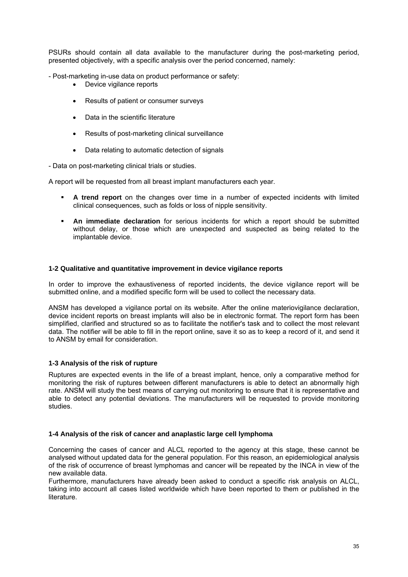PSURs should contain all data available to the manufacturer during the post-marketing period, presented objectively, with a specific analysis over the period concerned, namely:

- Post-marketing in-use data on product performance or safety:

- Device vigilance reports
- Results of patient or consumer surveys
- Data in the scientific literature
- Results of post-marketing clinical surveillance
- Data relating to automatic detection of signals

- Data on post-marketing clinical trials or studies.

A report will be requested from all breast implant manufacturers each year.

- **A trend report** on the changes over time in a number of expected incidents with limited clinical consequences, such as folds or loss of nipple sensitivity.
- **An immediate declaration** for serious incidents for which a report should be submitted without delay, or those which are unexpected and suspected as being related to the implantable device.

#### **1-2 Qualitative and quantitative improvement in device vigilance reports**

In order to improve the exhaustiveness of reported incidents, the device vigilance report will be submitted online, and a modified specific form will be used to collect the necessary data.

ANSM has developed a vigilance portal on its website. After the online materiovigilance declaration, device incident reports on breast implants will also be in electronic format. The report form has been simplified, clarified and structured so as to facilitate the notifier's task and to collect the most relevant data. The notifier will be able to fill in the report online, save it so as to keep a record of it, and send it to ANSM by email for consideration.

## **1-3 Analysis of the risk of rupture**

Ruptures are expected events in the life of a breast implant, hence, only a comparative method for monitoring the risk of ruptures between different manufacturers is able to detect an abnormally high rate. ANSM will study the best means of carrying out monitoring to ensure that it is representative and able to detect any potential deviations. The manufacturers will be requested to provide monitoring studies.

#### **1-4 Analysis of the risk of cancer and anaplastic large cell lymphoma**

Concerning the cases of cancer and ALCL reported to the agency at this stage, these cannot be analysed without updated data for the general population. For this reason, an epidemiological analysis of the risk of occurrence of breast lymphomas and cancer will be repeated by the INCA in view of the new available data.

Furthermore, manufacturers have already been asked to conduct a specific risk analysis on ALCL, taking into account all cases listed worldwide which have been reported to them or published in the literature.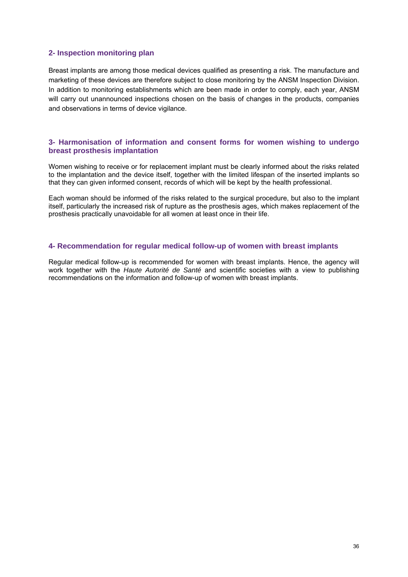## **2- Inspection monitoring plan**

Breast implants are among those medical devices qualified as presenting a risk. The manufacture and marketing of these devices are therefore subject to close monitoring by the ANSM Inspection Division. In addition to monitoring establishments which are been made in order to comply, each year, ANSM will carry out unannounced inspections chosen on the basis of changes in the products, companies and observations in terms of device vigilance.

#### **3- Harmonisation of information and consent forms for women wishing to undergo breast prosthesis implantation**

Women wishing to receive or for replacement implant must be clearly informed about the risks related to the implantation and the device itself, together with the limited lifespan of the inserted implants so that they can given informed consent, records of which will be kept by the health professional.

Each woman should be informed of the risks related to the surgical procedure, but also to the implant itself, particularly the increased risk of rupture as the prosthesis ages, which makes replacement of the prosthesis practically unavoidable for all women at least once in their life.

#### **4- Recommendation for regular medical follow-up of women with breast implants**

Regular medical follow-up is recommended for women with breast implants. Hence, the agency will work together with the *Haute Autorité de Santé* and scientific societies with a view to publishing recommendations on the information and follow-up of women with breast implants.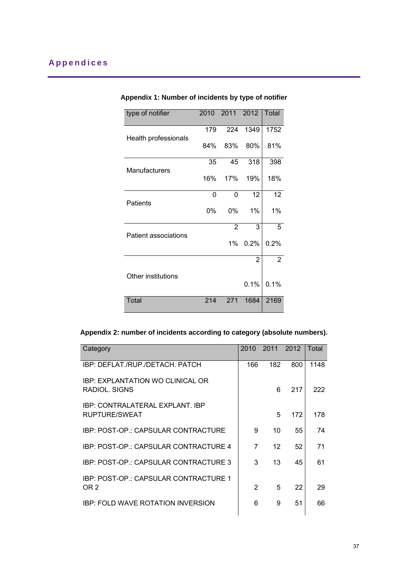| type of notifier     |     | 2010 2011 2012 |                | Total           |
|----------------------|-----|----------------|----------------|-----------------|
|                      | 179 | 224            | 1349           | 1752            |
| Health professionals | 84% | 83%            | 80%            | 81%             |
|                      | 35  | 45             | 318            | 398             |
| Manufacturers        | 16% | 17%            | 19%            | 18%             |
| <b>Patients</b>      | 0   | $\Omega$       | 12             | 12 <sub>2</sub> |
|                      | 0%  | 0%             | 1%             | 1%              |
| Patient associations |     | $\overline{2}$ | 3              | 5               |
|                      |     | $1\%$          | 0.2%           | 0.2%            |
|                      |     |                | $\overline{2}$ | $\overline{2}$  |
| Other institutions   |     |                |                |                 |
|                      |     |                | 0.1%           | 0.1%            |
| Total                | 214 | 271            | 1684           | 2169            |

# **Appendix 1: Number of incidents by type of notifier**

# **Appendix 2: number of incidents according to category (absolute numbers).**

| Category                                                 | 2010          | 2011              | 2012 | Total |
|----------------------------------------------------------|---------------|-------------------|------|-------|
| IBP: DEFLAT./RUP./DETACH. PATCH                          | 166           | 182               | 800  | 1148  |
| <b>IBP: EXPLANTATION WO CLINICAL OR</b><br>RADIOL, SIGNS |               | 6                 | 217  | 222   |
| IBP: CONTRALATERAL EXPLANT, IBP<br>RUPTURE/SWEAT         |               | 5                 | 172  | 178   |
| IBP: POST-OP.: CAPSULAR CONTRACTURE                      | 9             | 10                | 55   | 74    |
| IBP: POST-OP.: CAPSULAR CONTRACTURE 4                    | 7             | $12 \overline{ }$ | 52   | 71    |
| IBP: POST-OP.: CAPSULAR CONTRACTURE 3                    | 3             | 13                | 45   | 61    |
| IBP: POST-OP.: CAPSULAR CONTRACTURE 1                    |               |                   |      |       |
| OR 2                                                     | $\mathcal{P}$ | 5                 | 22   | 29    |
| <b>IBP: FOLD WAVE ROTATION INVERSION</b>                 | 6             | 9                 | 51   | 66    |
|                                                          |               |                   |      |       |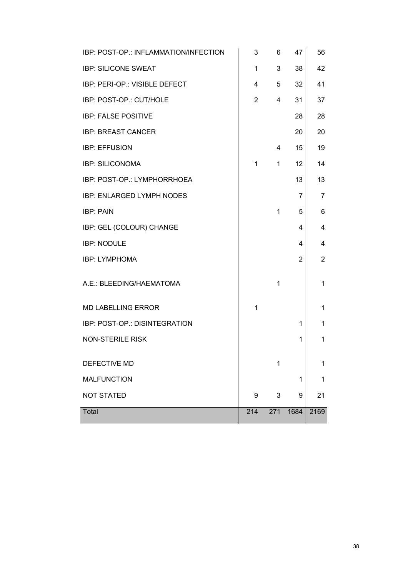| IBP: POST-OP.: INFLAMMATION/INFECTION | 3              | 6            | 47             | 56             |
|---------------------------------------|----------------|--------------|----------------|----------------|
| <b>IBP: SILICONE SWEAT</b>            | 1              | 3            | 38             | 42             |
| IBP: PERI-OP.: VISIBLE DEFECT         | 4              | 5            | 32             | 41             |
| IBP: POST-OP.: CUT/HOLE               | $\overline{2}$ | 4            | 31             | 37             |
| <b>IBP: FALSE POSITIVE</b>            |                |              | 28             | 28             |
| <b>IBP: BREAST CANCER</b>             |                |              | 20             | 20             |
| <b>IBP: EFFUSION</b>                  |                | 4            | 15             | 19             |
| <b>IBP: SILICONOMA</b>                | $\mathbf{1}$   | $\mathbf{1}$ | 12             | 14             |
| IBP: POST-OP.: LYMPHORRHOEA           |                |              | 13             | 13             |
| IBP: ENLARGED LYMPH NODES             |                |              | $\overline{7}$ | 7              |
| <b>IBP: PAIN</b>                      |                | $\mathbf{1}$ | 5              | 6              |
| IBP: GEL (COLOUR) CHANGE              |                |              | 4              | 4              |
| <b>IBP: NODULE</b>                    |                |              | 4              | 4              |
| <b>IBP: LYMPHOMA</b>                  |                |              | 2              | $\overline{2}$ |
| A.E.: BLEEDING/HAEMATOMA              |                | $\mathbf{1}$ |                | 1              |
| <b>MD LABELLING ERROR</b>             | $\mathbf{1}$   |              |                | 1              |
| IBP: POST-OP.: DISINTEGRATION         |                |              | 1              | 1              |
| <b>NON-STERILE RISK</b>               |                |              | 1              | 1              |
| DEFECTIVE MD                          |                | 1            |                | 1              |
| <b>MALFUNCTION</b>                    |                |              | 1              | 1              |
| <b>NOT STATED</b>                     | 9              | 3            | 9              | 21             |
| <b>Total</b>                          | 214            | 271          | 1684           | 2169           |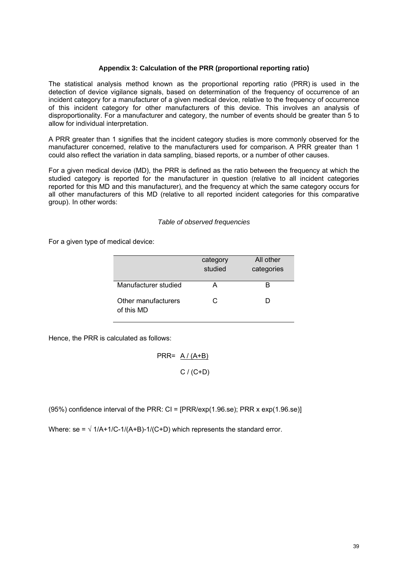#### **Appendix 3: Calculation of the PRR (proportional reporting ratio)**

The statistical analysis method known as the proportional reporting ratio (PRR) is used in the detection of device vigilance signals, based on determination of the frequency of occurrence of an incident category for a manufacturer of a given medical device, relative to the frequency of occurrence of this incident category for other manufacturers of this device. This involves an analysis of disproportionality. For a manufacturer and category, the number of events should be greater than 5 to allow for individual interpretation.

A PRR greater than 1 signifies that the incident category studies is more commonly observed for the manufacturer concerned, relative to the manufacturers used for comparison. A PRR greater than 1 could also reflect the variation in data sampling, biased reports, or a number of other causes.

For a given medical device (MD), the PRR is defined as the ratio between the frequency at which the studied category is reported for the manufacturer in question (relative to all incident categories reported for this MD and this manufacturer), and the frequency at which the same category occurs for all other manufacturers of this MD (relative to all reported incident categories for this comparative group). In other words:

#### *Table of observed frequencies*

For a given type of medical device:

|                                   | category<br>studied | All other<br>categories |
|-----------------------------------|---------------------|-------------------------|
| Manufacturer studied              |                     |                         |
| Other manufacturers<br>of this MD | C                   |                         |

Hence, the PRR is calculated as follows:

$$
PRR = \frac{A/(A+B)}{C/(C+D)}
$$

(95%) confidence interval of the PRR:  $CI = [PRR/exp(1.96 \text{.}se)]$ ; PRR x exp(1.96.se)]

Where:  $se = \sqrt{\frac{1}{A} + \frac{1}{C} - \frac{1}{A} + B} - \frac{1}{C} + D$  which represents the standard error.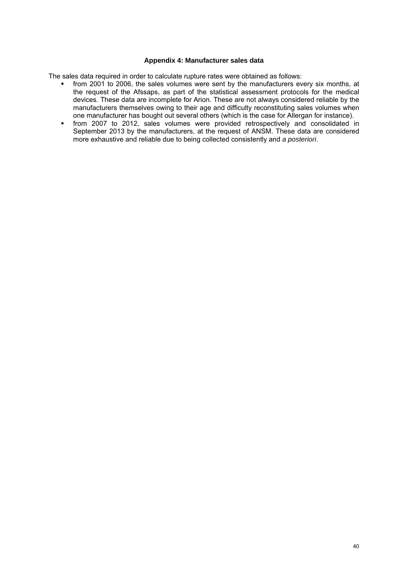#### **Appendix 4: Manufacturer sales data**

The sales data required in order to calculate rupture rates were obtained as follows:

- from 2001 to 2006, the sales volumes were sent by the manufacturers every six months, at the request of the Afssaps, as part of the statistical assessment protocols for the medical devices. These data are incomplete for Arion. These are not always considered reliable by the manufacturers themselves owing to their age and difficulty reconstituting sales volumes when one manufacturer has bought out several others (which is the case for Allergan for instance).
- from 2007 to 2012, sales volumes were provided retrospectively and consolidated in September 2013 by the manufacturers, at the request of ANSM. These data are considered more exhaustive and reliable due to being collected consistently and *a posteriori*.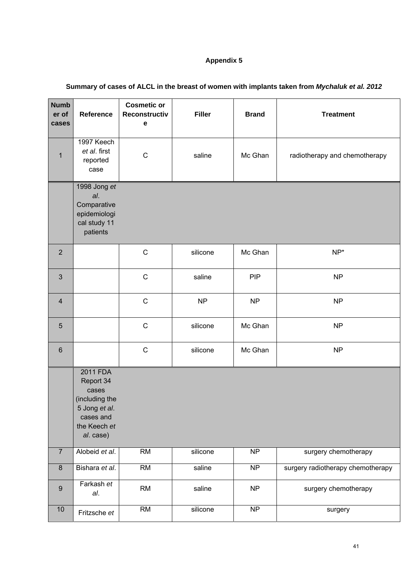# **Appendix 5**

| <b>Numb</b><br>er of<br>cases | Reference                                                                                                   | <b>Cosmetic or</b><br><b>Reconstructiv</b><br>е | <b>Filler</b> | <b>Brand</b>           | <b>Treatment</b>                  |
|-------------------------------|-------------------------------------------------------------------------------------------------------------|-------------------------------------------------|---------------|------------------------|-----------------------------------|
| $\overline{1}$                | 1997 Keech<br>et al. first<br>reported<br>case                                                              | $\mathsf C$                                     | saline        | Mc Ghan                | radiotherapy and chemotherapy     |
|                               | 1998 Jong $et$<br>al.<br>Comparative<br>epidemiologi<br>cal study 11<br>patients                            |                                                 |               |                        |                                   |
| $\overline{2}$                |                                                                                                             | $\mathbf C$                                     | silicone      | Mc Ghan                | $NP*$                             |
| 3                             |                                                                                                             | $\mathsf{C}$                                    | saline        | <b>PIP</b>             | <b>NP</b>                         |
| $\overline{4}$                |                                                                                                             | $\mathsf{C}$                                    | <b>NP</b>     | <b>NP</b>              | <b>NP</b>                         |
| $\overline{5}$                |                                                                                                             | $\mathsf{C}$                                    | silicone      | Mc Ghan                | <b>NP</b>                         |
| $\,6$                         |                                                                                                             | $\mathsf C$                                     | silicone      | Mc Ghan                | <b>NP</b>                         |
|                               | 2011 FDA<br>Report 34<br>cases<br>(including the<br>5 Jong et al.<br>cases and<br>the Keech et<br>al. case) |                                                 |               |                        |                                   |
| $\overline{7}$                | Alobeid et al.                                                                                              | $\overline{RM}$                                 | silicone      | NP                     | surgery chemotherapy              |
| $\overline{8}$                | Bishara et al.                                                                                              | $\overline{RM}$                                 | saline        | $\overline{\text{NP}}$ | surgery radiotherapy chemotherapy |
| $\boldsymbol{9}$              | Farkash et<br>al.                                                                                           | <b>RM</b>                                       | saline        | <b>NP</b>              | surgery chemotherapy              |
| 10                            | Fritzsche et                                                                                                | RM                                              | silicone      | $\overline{\text{NP}}$ | surgery                           |

# **Summary of cases of ALCL in the breast of women with implants taken from** *Mychaluk et al. 2012*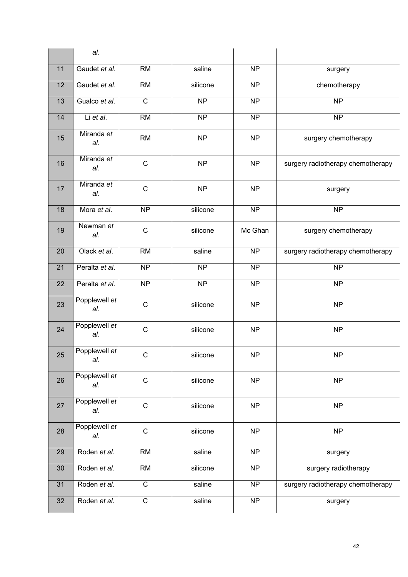|    | al.                  |                          |                     |                        |                                   |
|----|----------------------|--------------------------|---------------------|------------------------|-----------------------------------|
| 11 | Gaudet et al.        | <b>RM</b>                | saline              | <b>NP</b>              | surgery                           |
| 12 | Gaudet et al.        | <b>RM</b>                | silicone            | $\overline{NP}$        | chemotherapy                      |
| 13 | Gualco et al.        | $\mathsf{C}$             | <b>NP</b>           | <b>NP</b>              | <b>NP</b>                         |
| 14 | Li et al.            | <b>RM</b>                | $\overline{NP}$     | $\overline{NP}$        | $\overline{NP}$                   |
| 15 | Miranda et<br>al.    | <b>RM</b>                | <b>NP</b>           | <b>NP</b>              | surgery chemotherapy              |
| 16 | Miranda et<br>al.    | $\mathsf{C}$             | <b>NP</b>           | <b>NP</b>              | surgery radiotherapy chemotherapy |
| 17 | Miranda et<br>al.    | $\mathsf C$              | <b>NP</b>           | <b>NP</b>              | surgery                           |
| 18 | Mora et al.          | $\overline{\mathsf{NP}}$ | silicone            | $\overline{\text{NP}}$ | $\overline{NP}$                   |
| 19 | Newman et<br>al.     | $\mathsf C$              | silicone            | Mc Ghan                | surgery chemotherapy              |
| 20 | Olack et al.         | <b>RM</b>                | saline              | <b>NP</b>              | surgery radiotherapy chemotherapy |
| 21 | Peralta et al.       | $\overline{NP}$          | $\overline{NP}$     | NP                     | $\overline{\text{NP}}$            |
| 22 | Peralta et al.       | $\overline{\sf NP}$      | $\overline{\sf NP}$ | $\overline{NP}$        | $\overline{\text{NP}}$            |
| 23 | Popplewell et<br>al. | $\mathsf C$              | silicone            | <b>NP</b>              | <b>NP</b>                         |
| 24 | Popplewell et<br>al. | $\mathsf{C}$             | silicone            | <b>NP</b>              | <b>NP</b>                         |
| 25 | Popplewell et<br>al. | $\mathsf C$              | silicone            | NP                     | <b>NP</b>                         |
| 26 | Popplewell et<br>al. | $\mathsf{C}$             | silicone            | <b>NP</b>              | NP                                |
| 27 | Popplewell et<br>al. | $\mathsf C$              | silicone            | <b>NP</b>              | NP                                |
| 28 | Popplewell et<br>al. | $\mathsf C$              | silicone            | <b>NP</b>              | <b>NP</b>                         |
| 29 | Roden et al.         | $\overline{RM}$          | saline              | $\overline{NP}$        | surgery                           |
| 30 | Roden et al.         | $\overline{RM}$          | silicone            | $\overline{\text{NP}}$ | surgery radiotherapy              |
| 31 | Roden et al.         | $\overline{C}$           | saline              | $\overline{NP}$        | surgery radiotherapy chemotherapy |
| 32 | Roden et al.         | $\overline{C}$           | saline              | NP                     | surgery                           |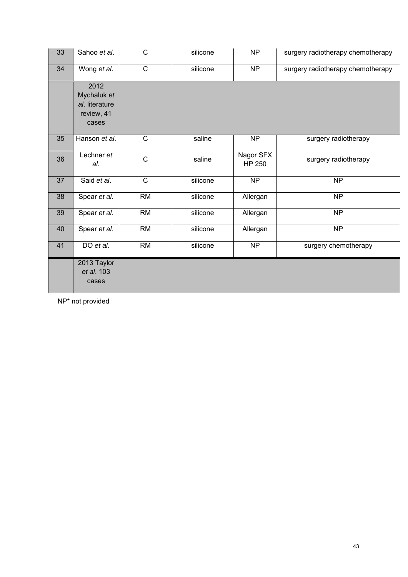| 33 | Sahoo et al.                                                 | $\mathsf{C}$    | silicone | <b>NP</b>                  | surgery radiotherapy chemotherapy |
|----|--------------------------------------------------------------|-----------------|----------|----------------------------|-----------------------------------|
| 34 | Wong et al.                                                  | $\overline{C}$  | silicone | $\overline{NP}$            | surgery radiotherapy chemotherapy |
|    | 2012<br>Mychaluk et<br>al. literature<br>review, 41<br>cases |                 |          |                            |                                   |
| 35 | Hanson et al.                                                | $\mathsf{C}$    | saline   | N <sub>P</sub>             | surgery radiotherapy              |
| 36 | Lechner et<br>al.                                            | $\mathsf C$     | saline   | Nagor SFX<br><b>HP 250</b> | surgery radiotherapy              |
| 37 | Said et al.                                                  | $\overline{C}$  | silicone | $\overline{NP}$            | $\overline{NP}$                   |
| 38 | Spear et al.                                                 | $\overline{RM}$ | silicone | Allergan                   | $\overline{NP}$                   |
| 39 | Spear et al.                                                 | <b>RM</b>       | silicone | Allergan                   | NP                                |
| 40 | Spear et al.                                                 | RM              | silicone | Allergan                   | $\overline{\sf NP}$               |
| 41 | DO et al.                                                    | <b>RM</b>       | silicone | NP                         | surgery chemotherapy              |
|    | 2013 Taylor<br>et al. 103<br>cases                           |                 |          |                            |                                   |

NP\* not provided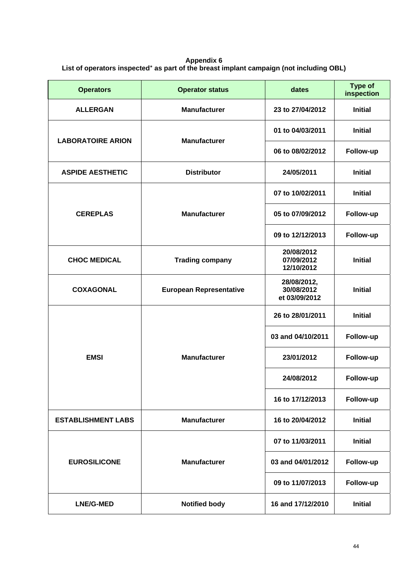**Appendix 6 List of operators inspected**\* **as part of the breast implant campaign (not including OBL)** 

| <b>Operators</b>          | <b>Operator status</b>         | dates                                      | <b>Type of</b><br>inspection |
|---------------------------|--------------------------------|--------------------------------------------|------------------------------|
| <b>ALLERGAN</b>           | <b>Manufacturer</b>            | 23 to 27/04/2012                           | <b>Initial</b>               |
| <b>LABORATOIRE ARION</b>  | <b>Manufacturer</b>            | 01 to 04/03/2011                           | <b>Initial</b>               |
|                           |                                | 06 to 08/02/2012                           | Follow-up                    |
| <b>ASPIDE AESTHETIC</b>   | <b>Distributor</b>             | 24/05/2011                                 | <b>Initial</b>               |
| <b>CEREPLAS</b>           | <b>Manufacturer</b>            | 07 to 10/02/2011                           | <b>Initial</b>               |
|                           |                                | 05 to 07/09/2012                           | Follow-up                    |
|                           |                                | 09 to 12/12/2013                           | Follow-up                    |
| <b>CHOC MEDICAL</b>       | <b>Trading company</b>         | 20/08/2012<br>07/09/2012<br>12/10/2012     | <b>Initial</b>               |
| <b>COXAGONAL</b>          | <b>European Representative</b> | 28/08/2012,<br>30/08/2012<br>et 03/09/2012 | <b>Initial</b>               |
| <b>EMSI</b>               | <b>Manufacturer</b>            | 26 to 28/01/2011                           | <b>Initial</b>               |
|                           |                                | 03 and 04/10/2011                          | Follow-up                    |
|                           |                                | 23/01/2012                                 | Follow-up                    |
|                           |                                | 24/08/2012                                 | Follow-up                    |
|                           |                                | 16 to 17/12/2013                           | Follow-up                    |
| <b>ESTABLISHMENT LABS</b> | <b>Manufacturer</b>            | 16 to 20/04/2012                           | <b>Initial</b>               |
| <b>EUROSILICONE</b>       | <b>Manufacturer</b>            | 07 to 11/03/2011                           | <b>Initial</b>               |
|                           |                                | 03 and 04/01/2012                          | Follow-up                    |
|                           |                                | 09 to 11/07/2013                           | Follow-up                    |
| <b>LNE/G-MED</b>          | <b>Notified body</b>           | 16 and 17/12/2010                          | <b>Initial</b>               |